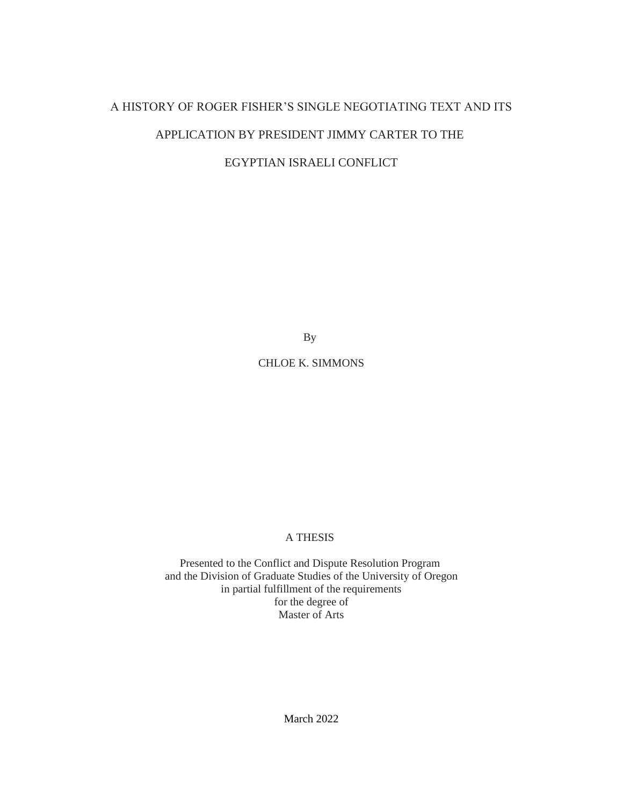# A HISTORY OF ROGER FISHER'S SINGLE NEGOTIATING TEXT AND ITS APPLICATION BY PRESIDENT JIMMY CARTER TO THE

# EGYPTIAN ISRAELI CONFLICT

By

## CHLOE K. SIMMONS

#### A THESIS

Presented to the Conflict and Dispute Resolution Program and the Division of Graduate Studies of the University of Oregon in partial fulfillment of the requirements for the degree of Master of Arts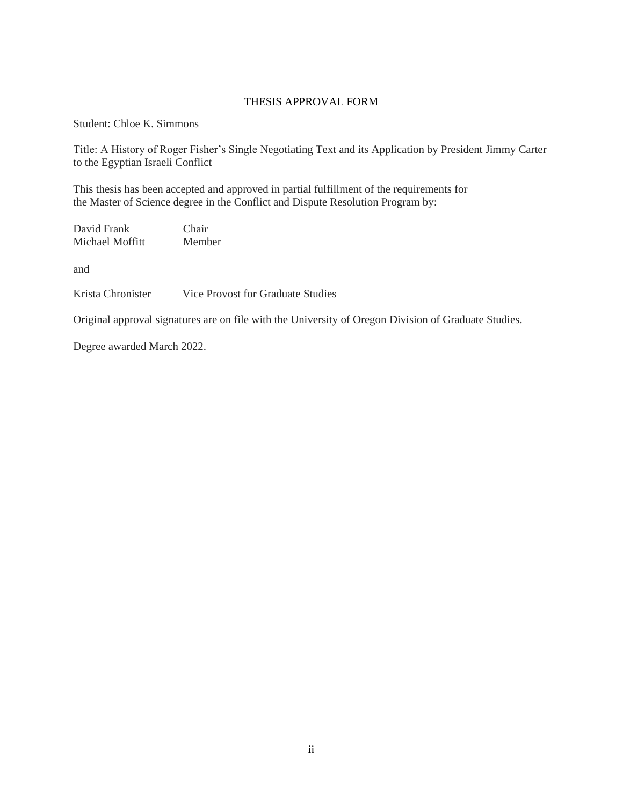#### THESIS APPROVAL FORM

Student: Chloe K. Simmons

Title: A History of Roger Fisher's Single Negotiating Text and its Application by President Jimmy Carter to the Egyptian Israeli Conflict

This thesis has been accepted and approved in partial fulfillment of the requirements for the Master of Science degree in the Conflict and Dispute Resolution Program by:

David Frank Chair<br>Michael Moffitt Member Michael Moffitt

and

Krista Chronister Vice Provost for Graduate Studies

Original approval signatures are on file with the University of Oregon Division of Graduate Studies.

Degree awarded March 2022.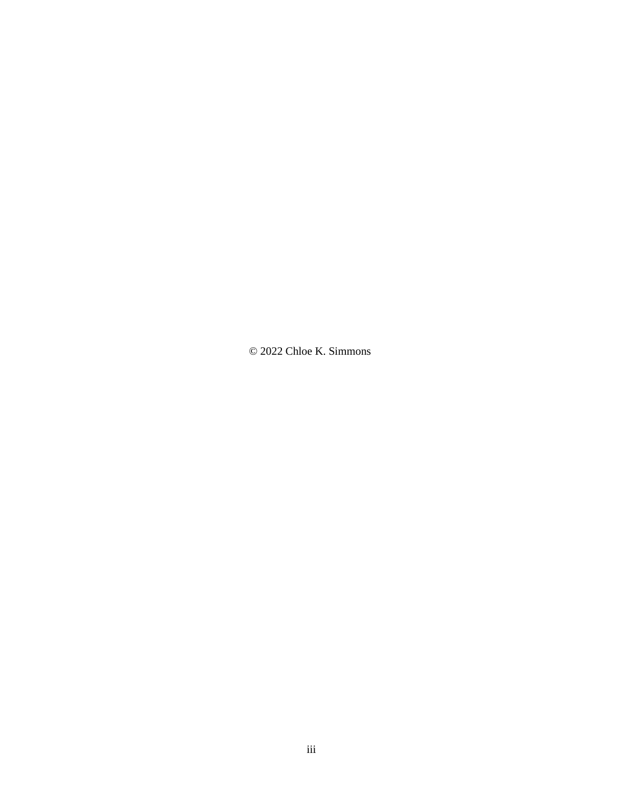© 2022 Chloe K. Simmons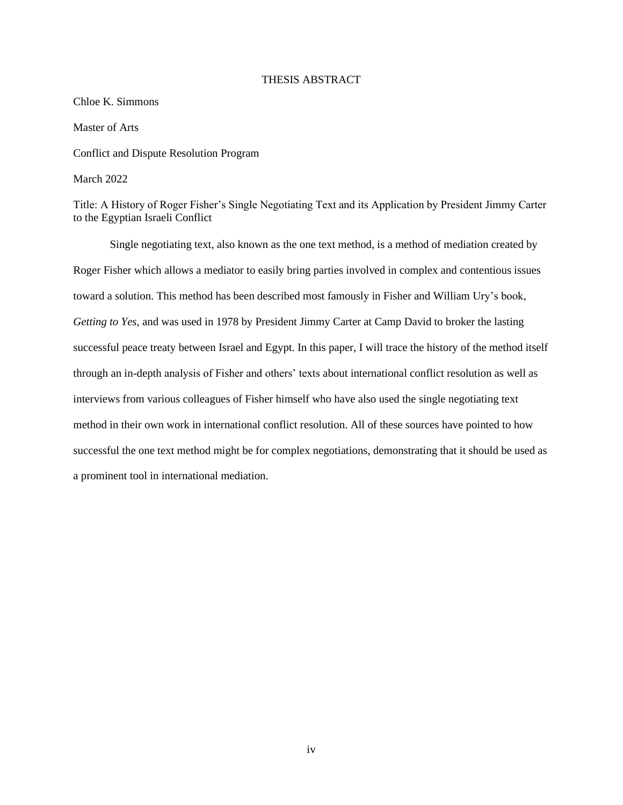#### THESIS ABSTRACT

#### Chloe K. Simmons

Master of Arts

Conflict and Dispute Resolution Program

March 2022

Title: A History of Roger Fisher's Single Negotiating Text and its Application by President Jimmy Carter to the Egyptian Israeli Conflict

Single negotiating text, also known as the one text method, is a method of mediation created by Roger Fisher which allows a mediator to easily bring parties involved in complex and contentious issues toward a solution. This method has been described most famously in Fisher and William Ury's book, *Getting to Yes*, and was used in 1978 by President Jimmy Carter at Camp David to broker the lasting successful peace treaty between Israel and Egypt. In this paper, I will trace the history of the method itself through an in-depth analysis of Fisher and others' texts about international conflict resolution as well as interviews from various colleagues of Fisher himself who have also used the single negotiating text method in their own work in international conflict resolution. All of these sources have pointed to how successful the one text method might be for complex negotiations, demonstrating that it should be used as a prominent tool in international mediation.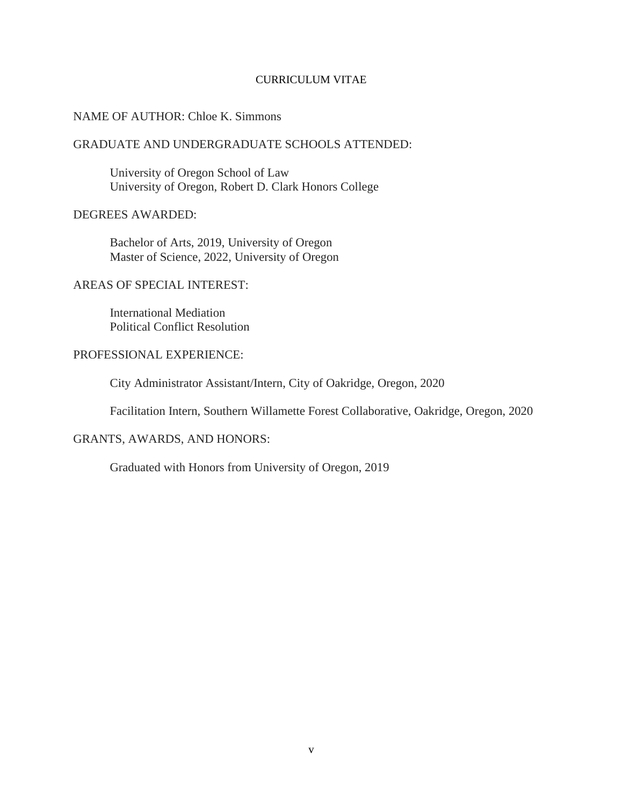#### CURRICULUM VITAE

#### NAME OF AUTHOR: Chloe K. Simmons

### GRADUATE AND UNDERGRADUATE SCHOOLS ATTENDED:

University of Oregon School of Law University of Oregon, Robert D. Clark Honors College

#### DEGREES AWARDED:

Bachelor of Arts, 2019, University of Oregon Master of Science, 2022, University of Oregon

## AREAS OF SPECIAL INTEREST:

International Mediation Political Conflict Resolution

### PROFESSIONAL EXPERIENCE:

City Administrator Assistant/Intern, City of Oakridge, Oregon, 2020

Facilitation Intern, Southern Willamette Forest Collaborative, Oakridge, Oregon, 2020

#### GRANTS, AWARDS, AND HONORS:

Graduated with Honors from University of Oregon, 2019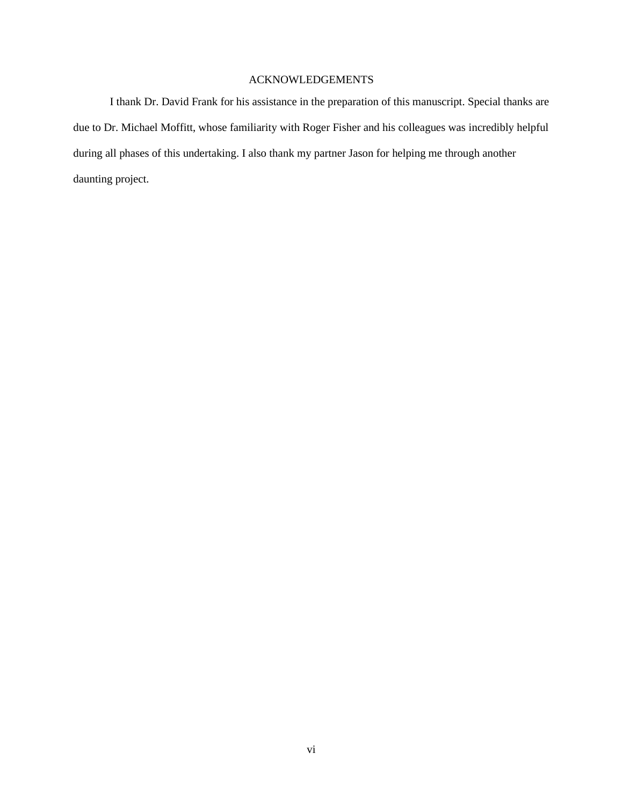### ACKNOWLEDGEMENTS

I thank Dr. David Frank for his assistance in the preparation of this manuscript. Special thanks are due to Dr. Michael Moffitt, whose familiarity with Roger Fisher and his colleagues was incredibly helpful during all phases of this undertaking. I also thank my partner Jason for helping me through another daunting project.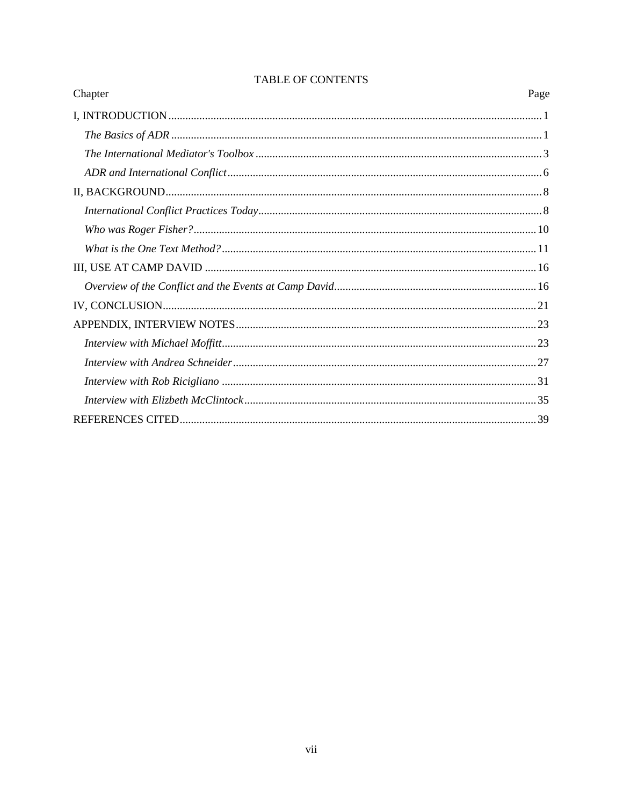| Chapter | Page |
|---------|------|
|         |      |
|         |      |
|         |      |
|         |      |
|         |      |
|         |      |
|         |      |
|         |      |
|         |      |
|         |      |
|         |      |
|         |      |
|         |      |
|         |      |
|         |      |
|         |      |
|         |      |

## **TABLE OF CONTENTS**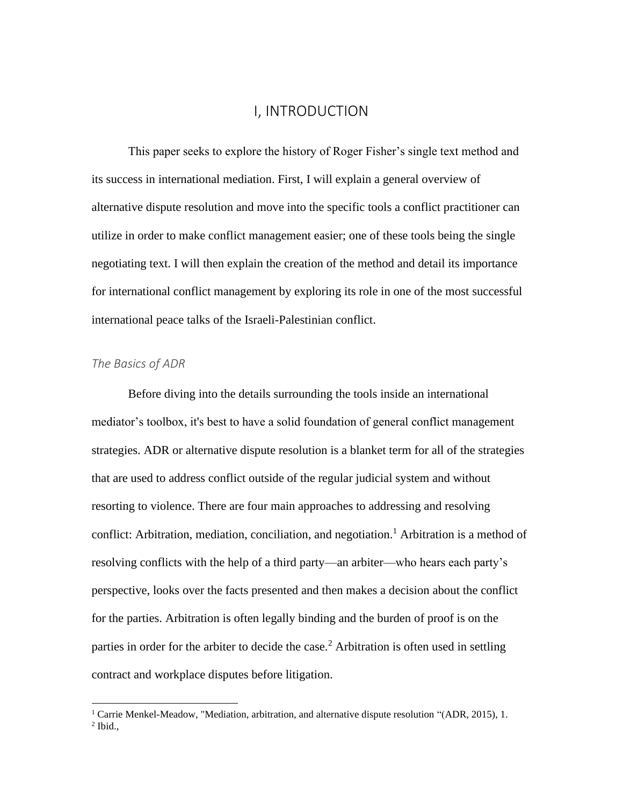## I, INTRODUCTION

<span id="page-7-0"></span>This paper seeks to explore the history of Roger Fisher's single text method and its success in international mediation. First, I will explain a general overview of alternative dispute resolution and move into the specific tools a conflict practitioner can utilize in order to make conflict management easier; one of these tools being the single negotiating text. I will then explain the creation of the method and detail its importance for international conflict management by exploring its role in one of the most successful international peace talks of the Israeli-Palestinian conflict.

## <span id="page-7-1"></span>*The Basics of ADR*

Before diving into the details surrounding the tools inside an international mediator's toolbox, it's best to have a solid foundation of general conflict management strategies. ADR or alternative dispute resolution is a blanket term for all of the strategies that are used to address conflict outside of the regular judicial system and without resorting to violence. There are four main approaches to addressing and resolving conflict: Arbitration, mediation, conciliation, and negotiation.<sup>1</sup> Arbitration is a method of resolving conflicts with the help of a third party—an arbiter—who hears each party's perspective, looks over the facts presented and then makes a decision about the conflict for the parties. Arbitration is often legally binding and the burden of proof is on the parties in order for the arbiter to decide the case.<sup>2</sup> Arbitration is often used in settling contract and workplace disputes before litigation.

<sup>&</sup>lt;sup>1</sup> Carrie Menkel-Meadow, "Mediation, arbitration, and alternative dispute resolution "(ADR, 2015), 1.  $<sup>2</sup>$  Ibid.,</sup>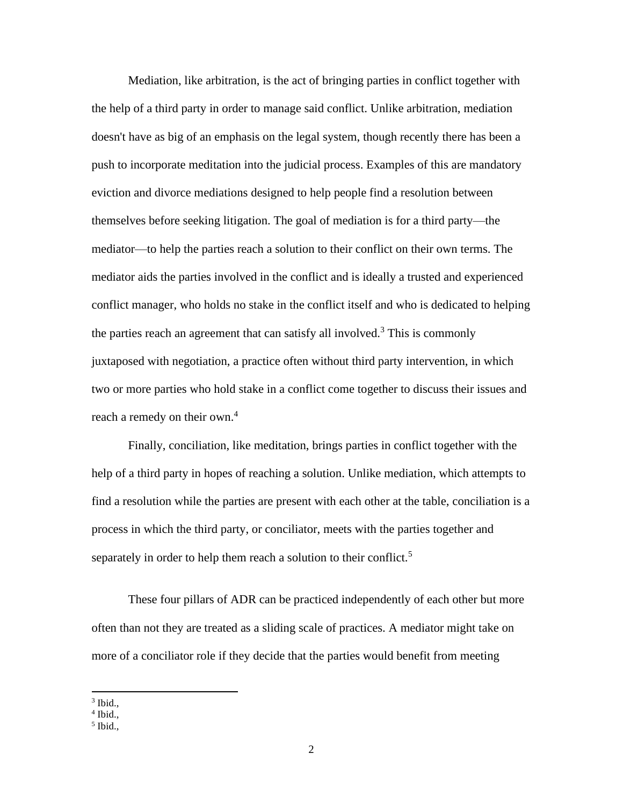Mediation, like arbitration, is the act of bringing parties in conflict together with the help of a third party in order to manage said conflict. Unlike arbitration, mediation doesn't have as big of an emphasis on the legal system, though recently there has been a push to incorporate meditation into the judicial process. Examples of this are mandatory eviction and divorce mediations designed to help people find a resolution between themselves before seeking litigation. The goal of mediation is for a third party—the mediator—to help the parties reach a solution to their conflict on their own terms. The mediator aids the parties involved in the conflict and is ideally a trusted and experienced conflict manager, who holds no stake in the conflict itself and who is dedicated to helping the parties reach an agreement that can satisfy all involved.<sup>3</sup> This is commonly juxtaposed with negotiation, a practice often without third party intervention, in which two or more parties who hold stake in a conflict come together to discuss their issues and reach a remedy on their own.<sup>4</sup>

Finally, conciliation, like meditation, brings parties in conflict together with the help of a third party in hopes of reaching a solution. Unlike mediation, which attempts to find a resolution while the parties are present with each other at the table, conciliation is a process in which the third party, or conciliator, meets with the parties together and separately in order to help them reach a solution to their conflict.<sup>5</sup>

These four pillars of ADR can be practiced independently of each other but more often than not they are treated as a sliding scale of practices. A mediator might take on more of a conciliator role if they decide that the parties would benefit from meeting

 $3$  Ibid.,

 $4$  Ibid.,

<sup>5</sup> Ibid.,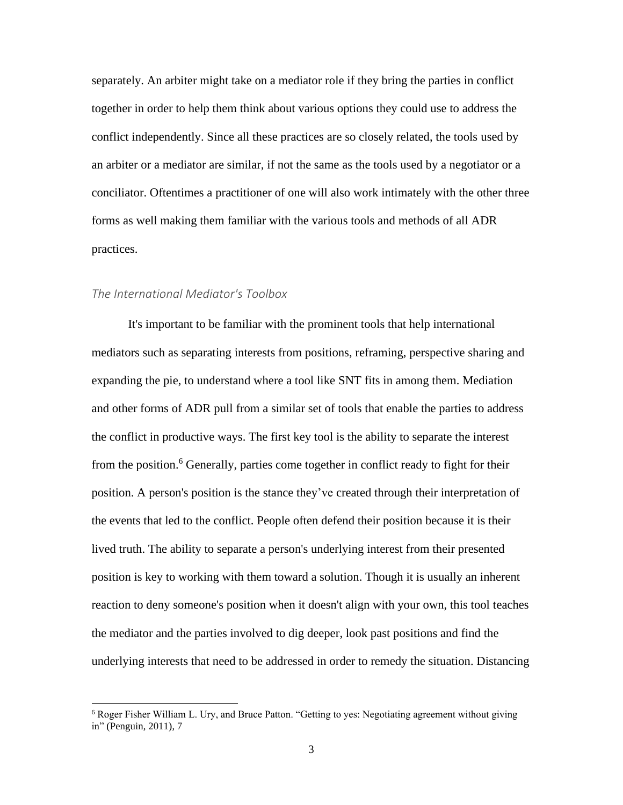separately. An arbiter might take on a mediator role if they bring the parties in conflict together in order to help them think about various options they could use to address the conflict independently. Since all these practices are so closely related, the tools used by an arbiter or a mediator are similar, if not the same as the tools used by a negotiator or a conciliator. Oftentimes a practitioner of one will also work intimately with the other three forms as well making them familiar with the various tools and methods of all ADR practices.

### <span id="page-9-0"></span>*The International Mediator's Toolbox*

It's important to be familiar with the prominent tools that help international mediators such as separating interests from positions, reframing, perspective sharing and expanding the pie, to understand where a tool like SNT fits in among them. Mediation and other forms of ADR pull from a similar set of tools that enable the parties to address the conflict in productive ways. The first key tool is the ability to separate the interest from the position.<sup>6</sup> Generally, parties come together in conflict ready to fight for their position. A person's position is the stance they've created through their interpretation of the events that led to the conflict. People often defend their position because it is their lived truth. The ability to separate a person's underlying interest from their presented position is key to working with them toward a solution. Though it is usually an inherent reaction to deny someone's position when it doesn't align with your own, this tool teaches the mediator and the parties involved to dig deeper, look past positions and find the underlying interests that need to be addressed in order to remedy the situation. Distancing

<sup>6</sup> Roger Fisher William L. Ury, and Bruce Patton. "Getting to yes: Negotiating agreement without giving in" (Penguin, 2011), 7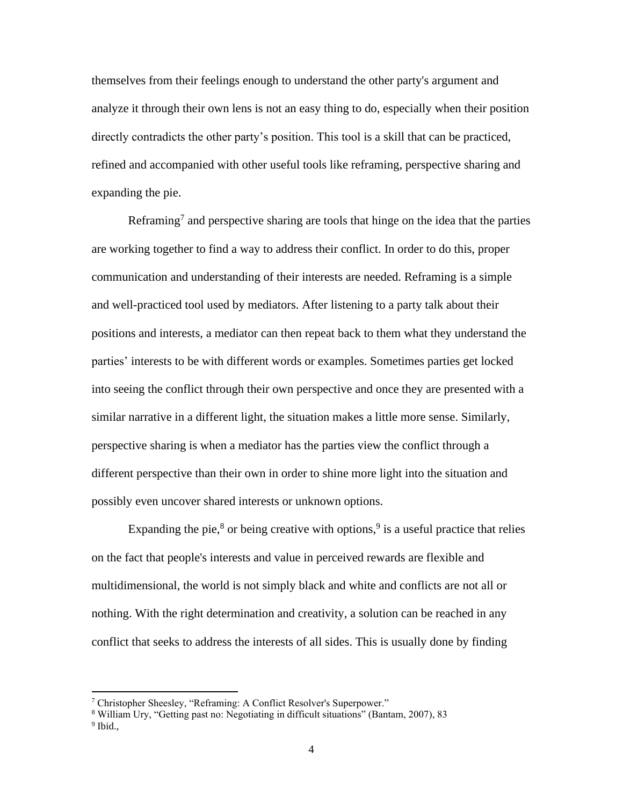themselves from their feelings enough to understand the other party's argument and analyze it through their own lens is not an easy thing to do, especially when their position directly contradicts the other party's position. This tool is a skill that can be practiced, refined and accompanied with other useful tools like reframing, perspective sharing and expanding the pie.

Reframing<sup>7</sup> and perspective sharing are tools that hinge on the idea that the parties are working together to find a way to address their conflict. In order to do this, proper communication and understanding of their interests are needed. Reframing is a simple and well-practiced tool used by mediators. After listening to a party talk about their positions and interests, a mediator can then repeat back to them what they understand the parties' interests to be with different words or examples. Sometimes parties get locked into seeing the conflict through their own perspective and once they are presented with a similar narrative in a different light, the situation makes a little more sense. Similarly, perspective sharing is when a mediator has the parties view the conflict through a different perspective than their own in order to shine more light into the situation and possibly even uncover shared interests or unknown options.

Expanding the pie,<sup>8</sup> or being creative with options,<sup>9</sup> is a useful practice that relies on the fact that people's interests and value in perceived rewards are flexible and multidimensional, the world is not simply black and white and conflicts are not all or nothing. With the right determination and creativity, a solution can be reached in any conflict that seeks to address the interests of all sides. This is usually done by finding

<sup>7</sup> Christopher Sheesley, "Reframing: A Conflict Resolver's Superpower."

<sup>8</sup> William Ury, "Getting past no: Negotiating in difficult situations" (Bantam, 2007), 83

<sup>&</sup>lt;sup>9</sup> Ibid.,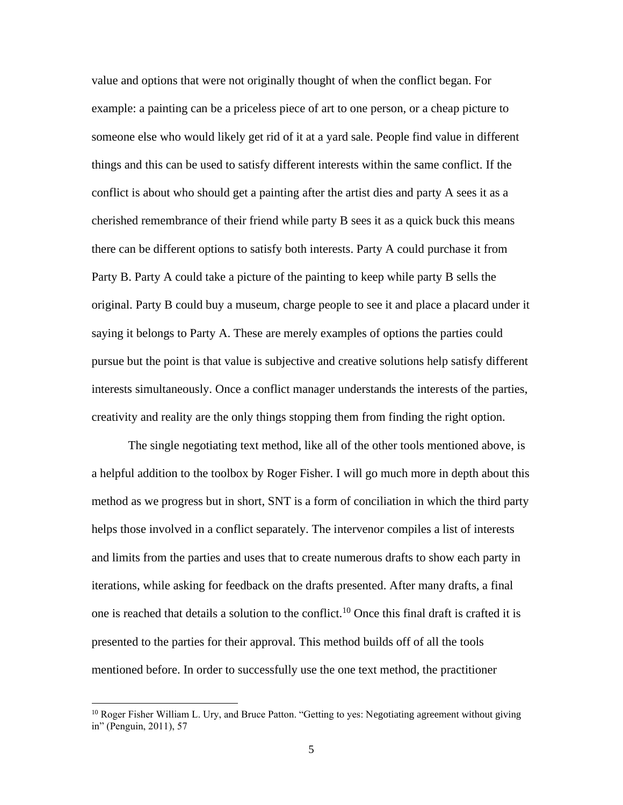value and options that were not originally thought of when the conflict began. For example: a painting can be a priceless piece of art to one person, or a cheap picture to someone else who would likely get rid of it at a yard sale. People find value in different things and this can be used to satisfy different interests within the same conflict. If the conflict is about who should get a painting after the artist dies and party A sees it as a cherished remembrance of their friend while party B sees it as a quick buck this means there can be different options to satisfy both interests. Party A could purchase it from Party B. Party A could take a picture of the painting to keep while party B sells the original. Party B could buy a museum, charge people to see it and place a placard under it saying it belongs to Party A. These are merely examples of options the parties could pursue but the point is that value is subjective and creative solutions help satisfy different interests simultaneously. Once a conflict manager understands the interests of the parties, creativity and reality are the only things stopping them from finding the right option.

The single negotiating text method, like all of the other tools mentioned above, is a helpful addition to the toolbox by Roger Fisher. I will go much more in depth about this method as we progress but in short, SNT is a form of conciliation in which the third party helps those involved in a conflict separately. The intervenor compiles a list of interests and limits from the parties and uses that to create numerous drafts to show each party in iterations, while asking for feedback on the drafts presented. After many drafts, a final one is reached that details a solution to the conflict.<sup>10</sup> Once this final draft is crafted it is presented to the parties for their approval. This method builds off of all the tools mentioned before. In order to successfully use the one text method, the practitioner

<sup>&</sup>lt;sup>10</sup> Roger Fisher William L. Ury, and Bruce Patton. "Getting to yes: Negotiating agreement without giving in" (Penguin, 2011), 57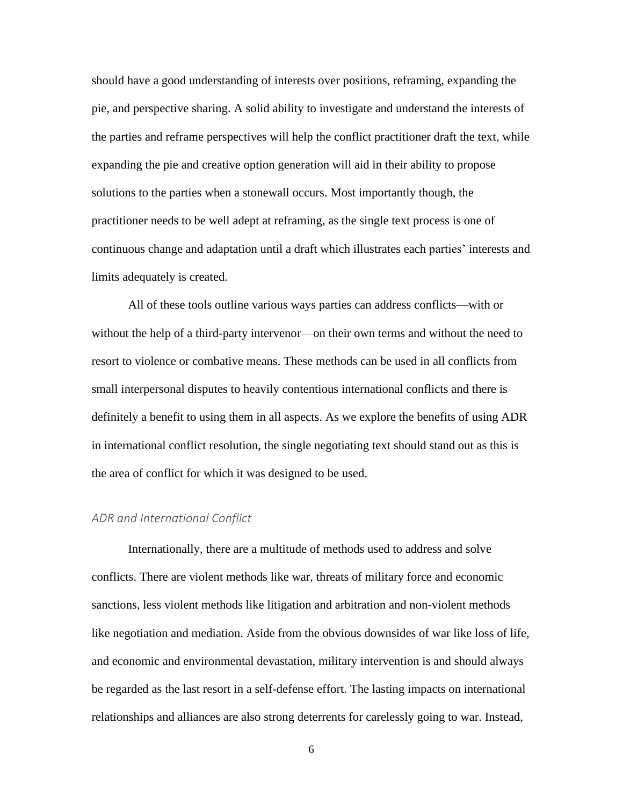should have a good understanding of interests over positions, reframing, expanding the pie, and perspective sharing. A solid ability to investigate and understand the interests of the parties and reframe perspectives will help the conflict practitioner draft the text, while expanding the pie and creative option generation will aid in their ability to propose solutions to the parties when a stonewall occurs. Most importantly though, the practitioner needs to be well adept at reframing, as the single text process is one of continuous change and adaptation until a draft which illustrates each parties' interests and limits adequately is created.

All of these tools outline various ways parties can address conflicts—with or without the help of a third-party intervenor—on their own terms and without the need to resort to violence or combative means. These methods can be used in all conflicts from small interpersonal disputes to heavily contentious international conflicts and there is definitely a benefit to using them in all aspects. As we explore the benefits of using ADR in international conflict resolution, the single negotiating text should stand out as this is the area of conflict for which it was designed to be used.

#### <span id="page-12-0"></span>*ADR and International Conflict*

Internationally, there are a multitude of methods used to address and solve conflicts. There are violent methods like war, threats of military force and economic sanctions, less violent methods like litigation and arbitration and non-violent methods like negotiation and mediation. Aside from the obvious downsides of war like loss of life, and economic and environmental devastation, military intervention is and should always be regarded as the last resort in a self-defense effort. The lasting impacts on international relationships and alliances are also strong deterrents for carelessly going to war. Instead,

6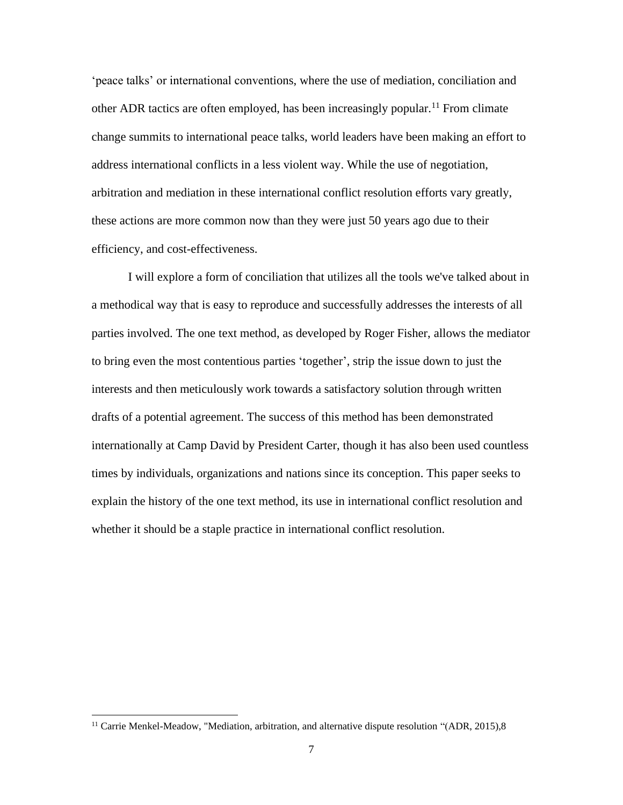'peace talks' or international conventions, where the use of mediation, conciliation and other ADR tactics are often employed, has been increasingly popular.<sup>11</sup> From climate change summits to international peace talks, world leaders have been making an effort to address international conflicts in a less violent way. While the use of negotiation, arbitration and mediation in these international conflict resolution efforts vary greatly, these actions are more common now than they were just 50 years ago due to their efficiency, and cost-effectiveness.

I will explore a form of conciliation that utilizes all the tools we've talked about in a methodical way that is easy to reproduce and successfully addresses the interests of all parties involved. The one text method, as developed by Roger Fisher, allows the mediator to bring even the most contentious parties 'together', strip the issue down to just the interests and then meticulously work towards a satisfactory solution through written drafts of a potential agreement. The success of this method has been demonstrated internationally at Camp David by President Carter, though it has also been used countless times by individuals, organizations and nations since its conception. This paper seeks to explain the history of the one text method, its use in international conflict resolution and whether it should be a staple practice in international conflict resolution.

 $11$  Carrie Menkel-Meadow, "Mediation, arbitration, and alternative dispute resolution "(ADR, 2015), 8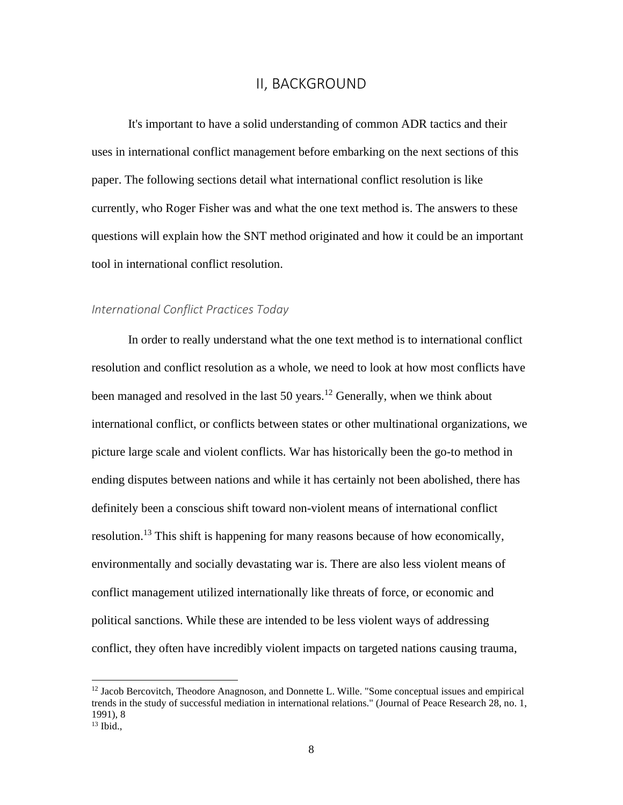## II, BACKGROUND

<span id="page-14-0"></span>It's important to have a solid understanding of common ADR tactics and their uses in international conflict management before embarking on the next sections of this paper. The following sections detail what international conflict resolution is like currently, who Roger Fisher was and what the one text method is. The answers to these questions will explain how the SNT method originated and how it could be an important tool in international conflict resolution.

#### <span id="page-14-1"></span>*International Conflict Practices Today*

In order to really understand what the one text method is to international conflict resolution and conflict resolution as a whole, we need to look at how most conflicts have been managed and resolved in the last 50 years.<sup>12</sup> Generally, when we think about international conflict, or conflicts between states or other multinational organizations, we picture large scale and violent conflicts. War has historically been the go-to method in ending disputes between nations and while it has certainly not been abolished, there has definitely been a conscious shift toward non-violent means of international conflict resolution.<sup>13</sup> This shift is happening for many reasons because of how economically, environmentally and socially devastating war is. There are also less violent means of conflict management utilized internationally like threats of force, or economic and political sanctions. While these are intended to be less violent ways of addressing conflict, they often have incredibly violent impacts on targeted nations causing trauma,

 $12$  Jacob Bercovitch, Theodore Anagnoson, and Donnette L. Wille. "Some conceptual issues and empirical trends in the study of successful mediation in international relations." (Journal of Peace Research 28, no. 1, 1991), 8

 $13$  Ibid.,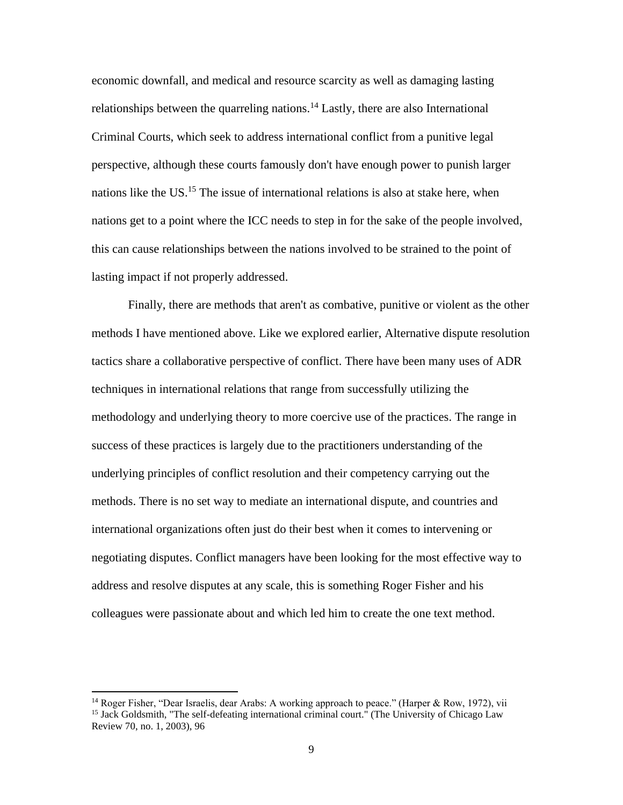economic downfall, and medical and resource scarcity as well as damaging lasting relationships between the quarreling nations.<sup>14</sup> Lastly, there are also International Criminal Courts, which seek to address international conflict from a punitive legal perspective, although these courts famously don't have enough power to punish larger nations like the US.<sup>15</sup> The issue of international relations is also at stake here, when nations get to a point where the ICC needs to step in for the sake of the people involved, this can cause relationships between the nations involved to be strained to the point of lasting impact if not properly addressed.

Finally, there are methods that aren't as combative, punitive or violent as the other methods I have mentioned above. Like we explored earlier, Alternative dispute resolution tactics share a collaborative perspective of conflict. There have been many uses of ADR techniques in international relations that range from successfully utilizing the methodology and underlying theory to more coercive use of the practices. The range in success of these practices is largely due to the practitioners understanding of the underlying principles of conflict resolution and their competency carrying out the methods. There is no set way to mediate an international dispute, and countries and international organizations often just do their best when it comes to intervening or negotiating disputes. Conflict managers have been looking for the most effective way to address and resolve disputes at any scale, this is something Roger Fisher and his colleagues were passionate about and which led him to create the one text method.

<sup>&</sup>lt;sup>14</sup> Roger Fisher, "Dear Israelis, dear Arabs: A working approach to peace." (Harper & Row, 1972), vii <sup>15</sup> Jack Goldsmith, "The self-defeating international criminal court." (The University of Chicago Law Review 70, no. 1, 2003), 96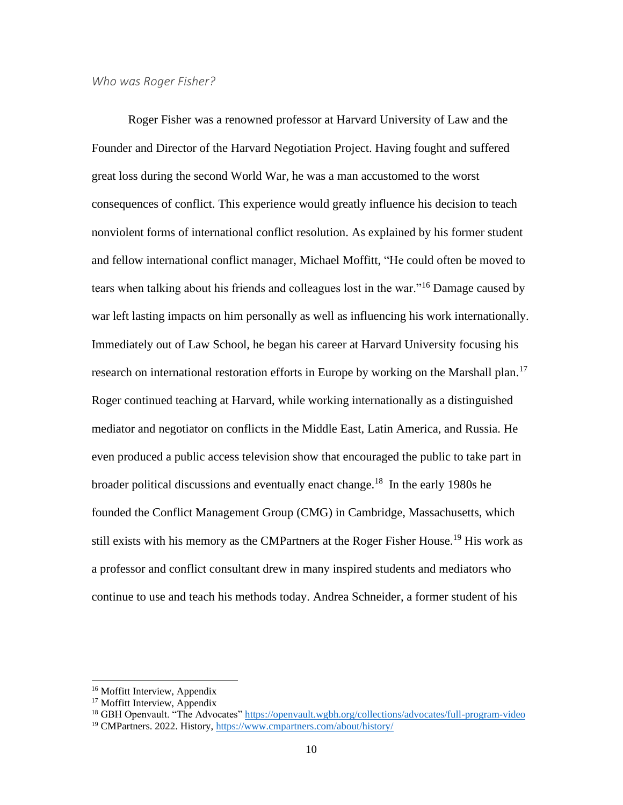#### <span id="page-16-0"></span>*Who was Roger Fisher?*

Roger Fisher was a renowned professor at Harvard University of Law and the Founder and Director of the Harvard Negotiation Project. Having fought and suffered great loss during the second World War, he was a man accustomed to the worst consequences of conflict. This experience would greatly influence his decision to teach nonviolent forms of international conflict resolution. As explained by his former student and fellow international conflict manager, Michael Moffitt, "He could often be moved to tears when talking about his friends and colleagues lost in the war."<sup>16</sup> Damage caused by war left lasting impacts on him personally as well as influencing his work internationally. Immediately out of Law School, he began his career at Harvard University focusing his research on international restoration efforts in Europe by working on the Marshall plan.<sup>17</sup> Roger continued teaching at Harvard, while working internationally as a distinguished mediator and negotiator on conflicts in the Middle East, Latin America, and Russia. He even produced a public access television show that encouraged the public to take part in broader political discussions and eventually enact change.<sup>18</sup> In the early 1980s he founded the Conflict Management Group (CMG) in Cambridge, Massachusetts, which still exists with his memory as the CMPartners at the Roger Fisher House.<sup>19</sup> His work as a professor and conflict consultant drew in many inspired students and mediators who continue to use and teach his methods today. Andrea Schneider, a former student of his

<sup>&</sup>lt;sup>16</sup> Moffitt Interview, Appendix

<sup>&</sup>lt;sup>17</sup> Moffitt Interview, Appendix

<sup>&</sup>lt;sup>18</sup> GBH Openvault. "The Advocates"<https://openvault.wgbh.org/collections/advocates/full-program-video>

<sup>19</sup> CMPartners. 2022. History,<https://www.cmpartners.com/about/history/>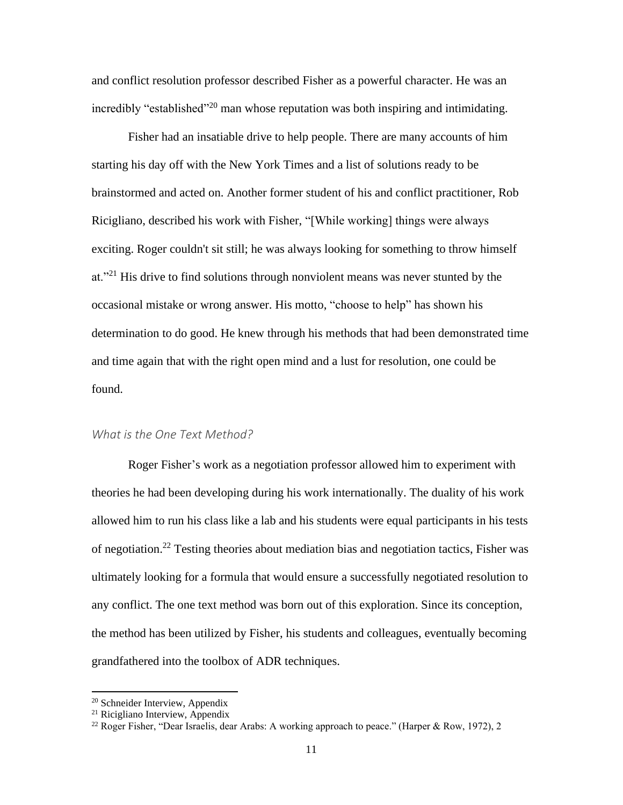and conflict resolution professor described Fisher as a powerful character. He was an incredibly "established"<sup>20</sup> man whose reputation was both inspiring and intimidating.

Fisher had an insatiable drive to help people. There are many accounts of him starting his day off with the New York Times and a list of solutions ready to be brainstormed and acted on. Another former student of his and conflict practitioner, Rob Ricigliano, described his work with Fisher, "[While working] things were always exciting. Roger couldn't sit still; he was always looking for something to throw himself at."<sup>21</sup> His drive to find solutions through nonviolent means was never stunted by the occasional mistake or wrong answer. His motto, "choose to help" has shown his determination to do good. He knew through his methods that had been demonstrated time and time again that with the right open mind and a lust for resolution, one could be found.

## <span id="page-17-0"></span>*What is the One Text Method?*

Roger Fisher's work as a negotiation professor allowed him to experiment with theories he had been developing during his work internationally. The duality of his work allowed him to run his class like a lab and his students were equal participants in his tests of negotiation.<sup>22</sup> Testing theories about mediation bias and negotiation tactics, Fisher was ultimately looking for a formula that would ensure a successfully negotiated resolution to any conflict. The one text method was born out of this exploration. Since its conception, the method has been utilized by Fisher, his students and colleagues, eventually becoming grandfathered into the toolbox of ADR techniques.

<sup>20</sup> Schneider Interview, Appendix

<sup>21</sup> Ricigliano Interview, Appendix

<sup>&</sup>lt;sup>22</sup> Roger Fisher, "Dear Israelis, dear Arabs: A working approach to peace." (Harper & Row, 1972), 2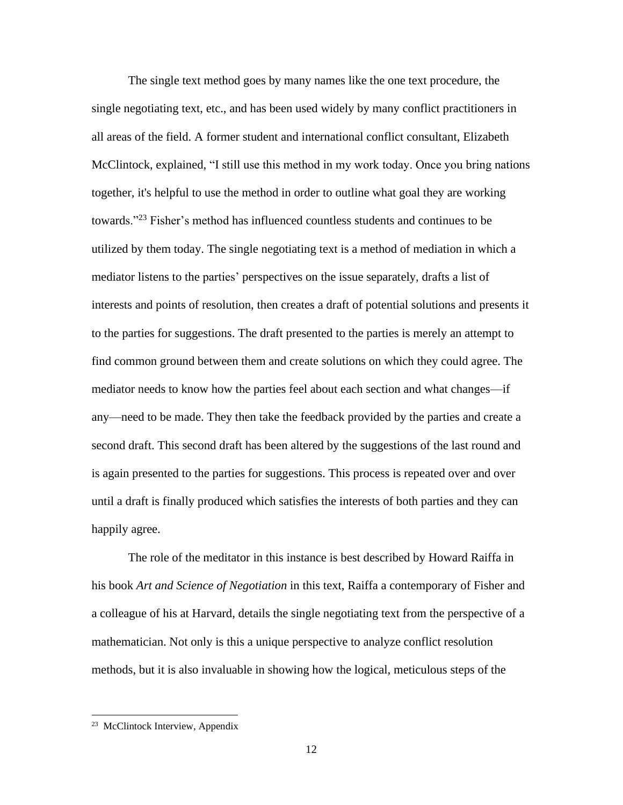The single text method goes by many names like the one text procedure, the single negotiating text, etc., and has been used widely by many conflict practitioners in all areas of the field. A former student and international conflict consultant, Elizabeth McClintock, explained, "I still use this method in my work today. Once you bring nations together, it's helpful to use the method in order to outline what goal they are working towards."<sup>23</sup> Fisher's method has influenced countless students and continues to be utilized by them today. The single negotiating text is a method of mediation in which a mediator listens to the parties' perspectives on the issue separately, drafts a list of interests and points of resolution, then creates a draft of potential solutions and presents it to the parties for suggestions. The draft presented to the parties is merely an attempt to find common ground between them and create solutions on which they could agree. The mediator needs to know how the parties feel about each section and what changes—if any—need to be made. They then take the feedback provided by the parties and create a second draft. This second draft has been altered by the suggestions of the last round and is again presented to the parties for suggestions. This process is repeated over and over until a draft is finally produced which satisfies the interests of both parties and they can happily agree.

The role of the meditator in this instance is best described by Howard Raiffa in his book *Art and Science of Negotiation* in this text, Raiffa a contemporary of Fisher and a colleague of his at Harvard, details the single negotiating text from the perspective of a mathematician. Not only is this a unique perspective to analyze conflict resolution methods, but it is also invaluable in showing how the logical, meticulous steps of the

<sup>&</sup>lt;sup>23</sup> McClintock Interview, Appendix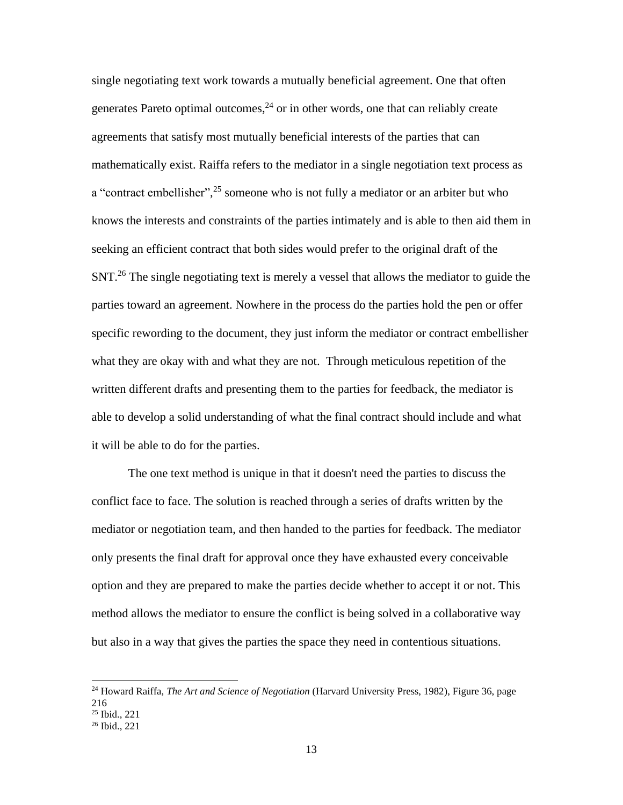single negotiating text work towards a mutually beneficial agreement. One that often generates Pareto optimal outcomes, $^{24}$  or in other words, one that can reliably create agreements that satisfy most mutually beneficial interests of the parties that can mathematically exist. Raiffa refers to the mediator in a single negotiation text process as a "contract embellisher",<sup>25</sup> someone who is not fully a mediator or an arbiter but who knows the interests and constraints of the parties intimately and is able to then aid them in seeking an efficient contract that both sides would prefer to the original draft of the SNT.<sup>26</sup> The single negotiating text is merely a vessel that allows the mediator to guide the parties toward an agreement. Nowhere in the process do the parties hold the pen or offer specific rewording to the document, they just inform the mediator or contract embellisher what they are okay with and what they are not. Through meticulous repetition of the written different drafts and presenting them to the parties for feedback, the mediator is able to develop a solid understanding of what the final contract should include and what it will be able to do for the parties.

The one text method is unique in that it doesn't need the parties to discuss the conflict face to face. The solution is reached through a series of drafts written by the mediator or negotiation team, and then handed to the parties for feedback. The mediator only presents the final draft for approval once they have exhausted every conceivable option and they are prepared to make the parties decide whether to accept it or not. This method allows the mediator to ensure the conflict is being solved in a collaborative way but also in a way that gives the parties the space they need in contentious situations.

<sup>24</sup> Howard Raiffa, *The Art and Science of Negotiation* (Harvard University Press, 1982), Figure 36, page 216 <sup>25</sup> Ibid., 221

<sup>26</sup> Ibid., 221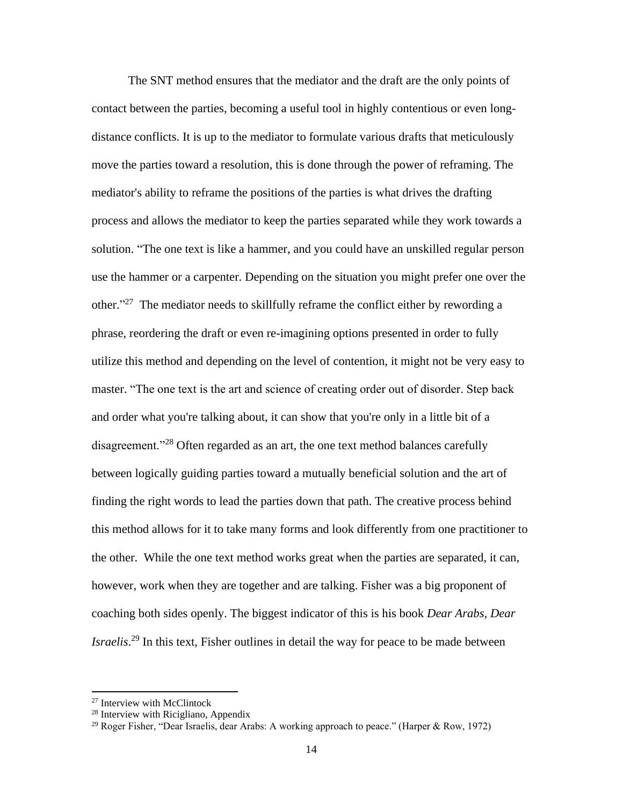The SNT method ensures that the mediator and the draft are the only points of contact between the parties, becoming a useful tool in highly contentious or even longdistance conflicts. It is up to the mediator to formulate various drafts that meticulously move the parties toward a resolution, this is done through the power of reframing. The mediator's ability to reframe the positions of the parties is what drives the drafting process and allows the mediator to keep the parties separated while they work towards a solution. "The one text is like a hammer, and you could have an unskilled regular person use the hammer or a carpenter. Depending on the situation you might prefer one over the other."<sup>27</sup> The mediator needs to skillfully reframe the conflict either by rewording a phrase, reordering the draft or even re-imagining options presented in order to fully utilize this method and depending on the level of contention, it might not be very easy to master. "The one text is the art and science of creating order out of disorder. Step back and order what you're talking about, it can show that you're only in a little bit of a disagreement."<sup>28</sup> Often regarded as an art, the one text method balances carefully between logically guiding parties toward a mutually beneficial solution and the art of finding the right words to lead the parties down that path. The creative process behind this method allows for it to take many forms and look differently from one practitioner to the other. While the one text method works great when the parties are separated, it can, however, work when they are together and are talking. Fisher was a big proponent of coaching both sides openly. The biggest indicator of this is his book *Dear Arabs, Dear Israelis*. <sup>29</sup> In this text, Fisher outlines in detail the way for peace to be made between

<sup>27</sup> Interview with McClintock

<sup>28</sup> Interview with Ricigliano, Appendix

<sup>&</sup>lt;sup>29</sup> Roger Fisher, "Dear Israelis, dear Arabs: A working approach to peace." (Harper & Row, 1972)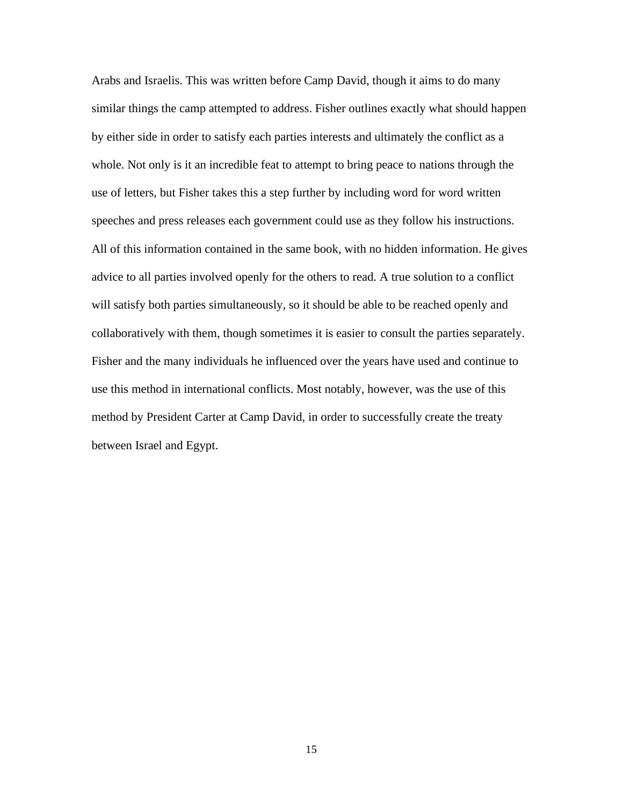Arabs and Israelis. This was written before Camp David, though it aims to do many similar things the camp attempted to address. Fisher outlines exactly what should happen by either side in order to satisfy each parties interests and ultimately the conflict as a whole. Not only is it an incredible feat to attempt to bring peace to nations through the use of letters, but Fisher takes this a step further by including word for word written speeches and press releases each government could use as they follow his instructions. All of this information contained in the same book, with no hidden information. He gives advice to all parties involved openly for the others to read. A true solution to a conflict will satisfy both parties simultaneously, so it should be able to be reached openly and collaboratively with them, though sometimes it is easier to consult the parties separately. Fisher and the many individuals he influenced over the years have used and continue to use this method in international conflicts. Most notably, however, was the use of this method by President Carter at Camp David, in order to successfully create the treaty between Israel and Egypt.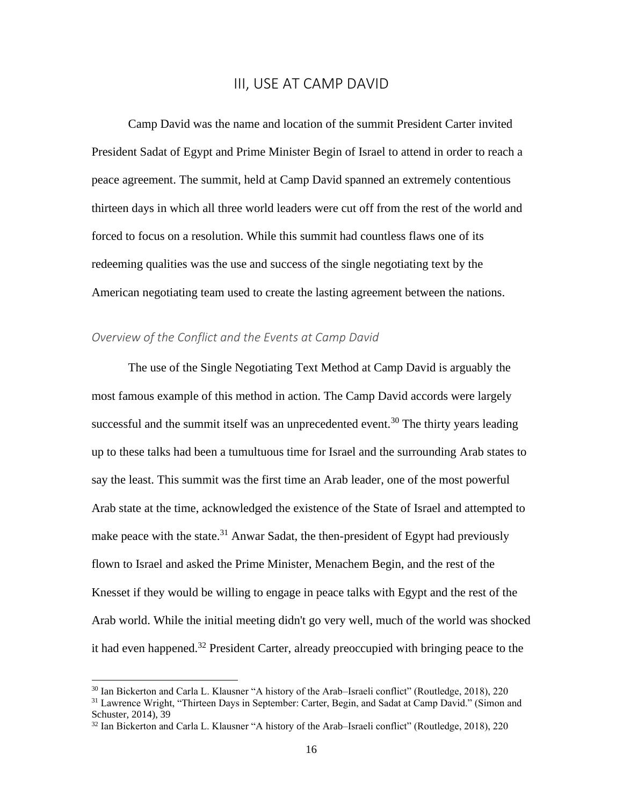## III, USE AT CAMP DAVID

<span id="page-22-0"></span>Camp David was the name and location of the summit President Carter invited President Sadat of Egypt and Prime Minister Begin of Israel to attend in order to reach a peace agreement. The summit, held at Camp David spanned an extremely contentious thirteen days in which all three world leaders were cut off from the rest of the world and forced to focus on a resolution. While this summit had countless flaws one of its redeeming qualities was the use and success of the single negotiating text by the American negotiating team used to create the lasting agreement between the nations.

## <span id="page-22-1"></span>*Overview of the Conflict and the Events at Camp David*

The use of the Single Negotiating Text Method at Camp David is arguably the most famous example of this method in action. The Camp David accords were largely successful and the summit itself was an unprecedented event.<sup>30</sup> The thirty years leading up to these talks had been a tumultuous time for Israel and the surrounding Arab states to say the least. This summit was the first time an Arab leader, one of the most powerful Arab state at the time, acknowledged the existence of the State of Israel and attempted to make peace with the state.<sup>31</sup> Anwar Sadat, the then-president of Egypt had previously flown to Israel and asked the Prime Minister, Menachem Begin, and the rest of the Knesset if they would be willing to engage in peace talks with Egypt and the rest of the Arab world. While the initial meeting didn't go very well, much of the world was shocked it had even happened.<sup>32</sup> President Carter, already preoccupied with bringing peace to the

<sup>30</sup> Ian Bickerton and Carla L. Klausner "A history of the Arab–Israeli conflict" (Routledge, 2018), 220

<sup>&</sup>lt;sup>31</sup> Lawrence Wright, "Thirteen Days in September: Carter, Begin, and Sadat at Camp David." (Simon and Schuster, 2014), 39

<sup>32</sup> Ian Bickerton and Carla L. Klausner "A history of the Arab–Israeli conflict" (Routledge, 2018), 220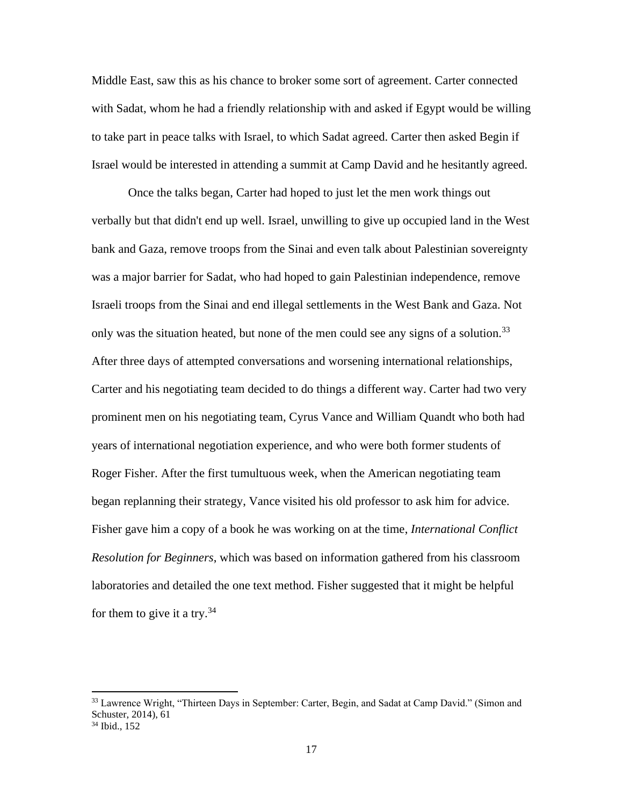Middle East, saw this as his chance to broker some sort of agreement. Carter connected with Sadat, whom he had a friendly relationship with and asked if Egypt would be willing to take part in peace talks with Israel, to which Sadat agreed. Carter then asked Begin if Israel would be interested in attending a summit at Camp David and he hesitantly agreed.

Once the talks began, Carter had hoped to just let the men work things out verbally but that didn't end up well. Israel, unwilling to give up occupied land in the West bank and Gaza, remove troops from the Sinai and even talk about Palestinian sovereignty was a major barrier for Sadat, who had hoped to gain Palestinian independence, remove Israeli troops from the Sinai and end illegal settlements in the West Bank and Gaza. Not only was the situation heated, but none of the men could see any signs of a solution.<sup>33</sup> After three days of attempted conversations and worsening international relationships, Carter and his negotiating team decided to do things a different way. Carter had two very prominent men on his negotiating team, Cyrus Vance and William Quandt who both had years of international negotiation experience, and who were both former students of Roger Fisher. After the first tumultuous week, when the American negotiating team began replanning their strategy, Vance visited his old professor to ask him for advice. Fisher gave him a copy of a book he was working on at the time, *International Conflict Resolution for Beginners*, which was based on information gathered from his classroom laboratories and detailed the one text method. Fisher suggested that it might be helpful for them to give it a try.<sup>34</sup>

<sup>&</sup>lt;sup>33</sup> Lawrence Wright, "Thirteen Days in September: Carter, Begin, and Sadat at Camp David." (Simon and Schuster, 2014), 61 <sup>34</sup> Ibid., 152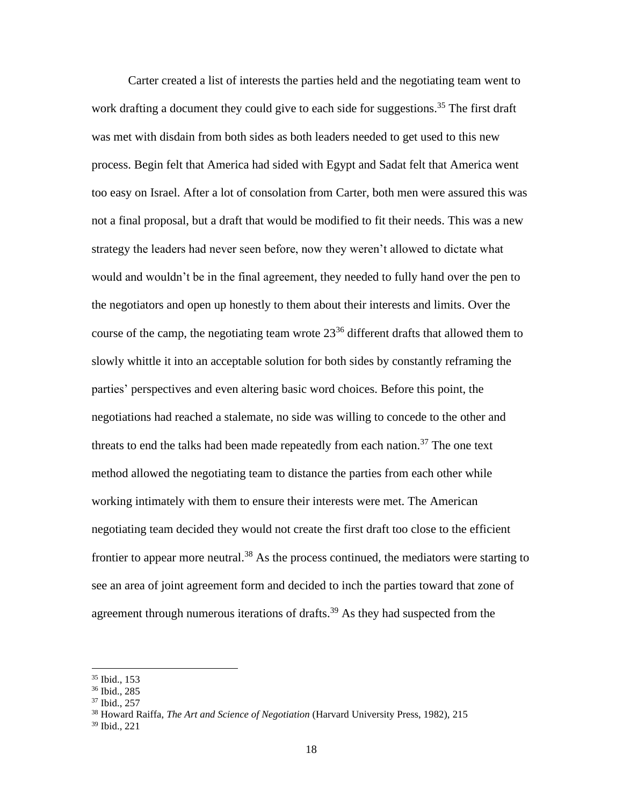Carter created a list of interests the parties held and the negotiating team went to work drafting a document they could give to each side for suggestions.<sup>35</sup> The first draft was met with disdain from both sides as both leaders needed to get used to this new process. Begin felt that America had sided with Egypt and Sadat felt that America went too easy on Israel. After a lot of consolation from Carter, both men were assured this was not a final proposal, but a draft that would be modified to fit their needs. This was a new strategy the leaders had never seen before, now they weren't allowed to dictate what would and wouldn't be in the final agreement, they needed to fully hand over the pen to the negotiators and open up honestly to them about their interests and limits. Over the course of the camp, the negotiating team wrote  $23^{36}$  different drafts that allowed them to slowly whittle it into an acceptable solution for both sides by constantly reframing the parties' perspectives and even altering basic word choices. Before this point, the negotiations had reached a stalemate, no side was willing to concede to the other and threats to end the talks had been made repeatedly from each nation. $37$  The one text method allowed the negotiating team to distance the parties from each other while working intimately with them to ensure their interests were met. The American negotiating team decided they would not create the first draft too close to the efficient frontier to appear more neutral.<sup>38</sup> As the process continued, the mediators were starting to see an area of joint agreement form and decided to inch the parties toward that zone of agreement through numerous iterations of drafts.<sup>39</sup> As they had suspected from the

<sup>35</sup> Ibid., 153

<sup>36</sup> Ibid., 285

<sup>37</sup> Ibid., 257

<sup>38</sup> Howard Raiffa, *The Art and Science of Negotiation* (Harvard University Press, 1982), 215

<sup>39</sup> Ibid., 221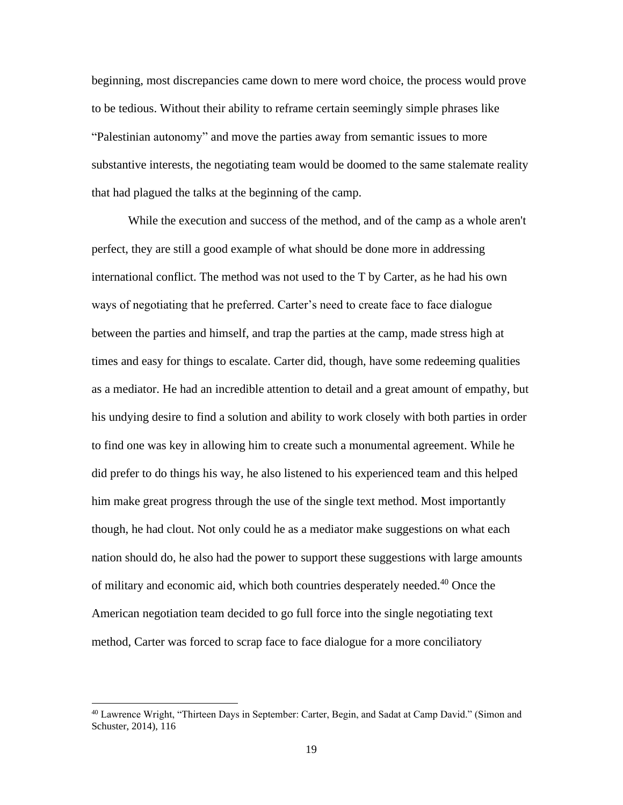beginning, most discrepancies came down to mere word choice, the process would prove to be tedious. Without their ability to reframe certain seemingly simple phrases like "Palestinian autonomy" and move the parties away from semantic issues to more substantive interests, the negotiating team would be doomed to the same stalemate reality that had plagued the talks at the beginning of the camp.

While the execution and success of the method, and of the camp as a whole aren't perfect, they are still a good example of what should be done more in addressing international conflict. The method was not used to the T by Carter, as he had his own ways of negotiating that he preferred. Carter's need to create face to face dialogue between the parties and himself, and trap the parties at the camp, made stress high at times and easy for things to escalate. Carter did, though, have some redeeming qualities as a mediator. He had an incredible attention to detail and a great amount of empathy, but his undying desire to find a solution and ability to work closely with both parties in order to find one was key in allowing him to create such a monumental agreement. While he did prefer to do things his way, he also listened to his experienced team and this helped him make great progress through the use of the single text method. Most importantly though, he had clout. Not only could he as a mediator make suggestions on what each nation should do, he also had the power to support these suggestions with large amounts of military and economic aid, which both countries desperately needed.<sup>40</sup> Once the American negotiation team decided to go full force into the single negotiating text method, Carter was forced to scrap face to face dialogue for a more conciliatory

<sup>&</sup>lt;sup>40</sup> Lawrence Wright, "Thirteen Days in September: Carter, Begin, and Sadat at Camp David." (Simon and Schuster, 2014), 116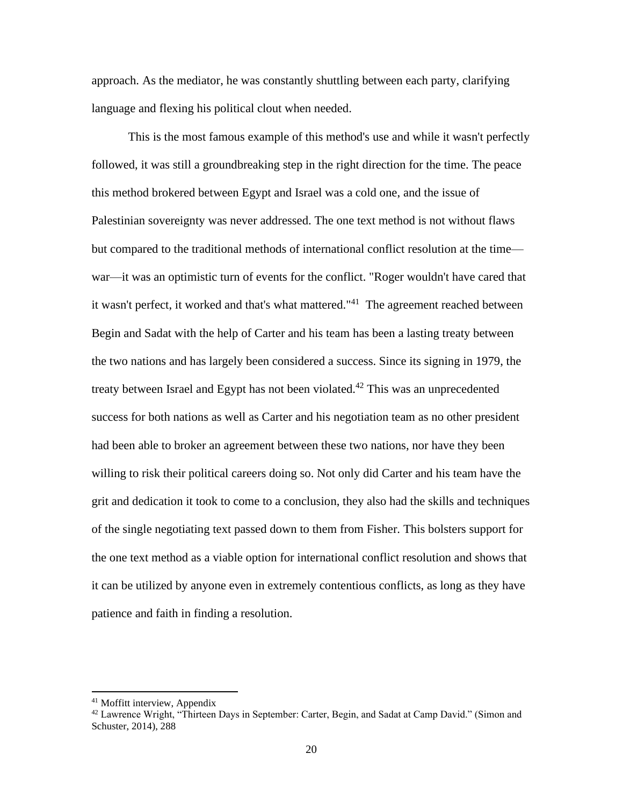approach. As the mediator, he was constantly shuttling between each party, clarifying language and flexing his political clout when needed.

This is the most famous example of this method's use and while it wasn't perfectly followed, it was still a groundbreaking step in the right direction for the time. The peace this method brokered between Egypt and Israel was a cold one, and the issue of Palestinian sovereignty was never addressed. The one text method is not without flaws but compared to the traditional methods of international conflict resolution at the time war—it was an optimistic turn of events for the conflict. "Roger wouldn't have cared that it wasn't perfect, it worked and that's what mattered."<sup>41</sup> The agreement reached between Begin and Sadat with the help of Carter and his team has been a lasting treaty between the two nations and has largely been considered a success. Since its signing in 1979, the treaty between Israel and Egypt has not been violated.<sup>42</sup> This was an unprecedented success for both nations as well as Carter and his negotiation team as no other president had been able to broker an agreement between these two nations, nor have they been willing to risk their political careers doing so. Not only did Carter and his team have the grit and dedication it took to come to a conclusion, they also had the skills and techniques of the single negotiating text passed down to them from Fisher. This bolsters support for the one text method as a viable option for international conflict resolution and shows that it can be utilized by anyone even in extremely contentious conflicts, as long as they have patience and faith in finding a resolution.

<sup>41</sup> Moffitt interview, Appendix

<sup>&</sup>lt;sup>42</sup> Lawrence Wright, "Thirteen Days in September: Carter, Begin, and Sadat at Camp David." (Simon and Schuster, 2014), 288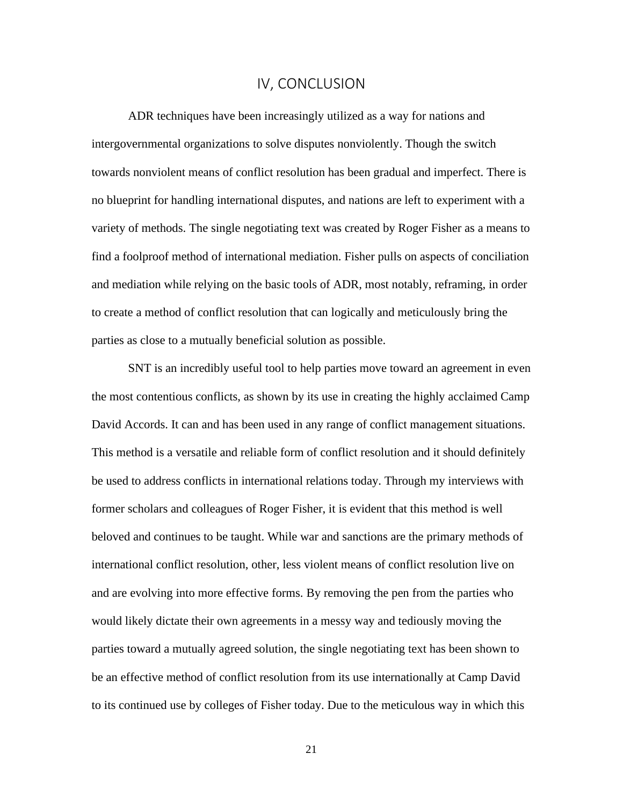## IV, CONCLUSION

<span id="page-27-0"></span>ADR techniques have been increasingly utilized as a way for nations and intergovernmental organizations to solve disputes nonviolently. Though the switch towards nonviolent means of conflict resolution has been gradual and imperfect. There is no blueprint for handling international disputes, and nations are left to experiment with a variety of methods. The single negotiating text was created by Roger Fisher as a means to find a foolproof method of international mediation. Fisher pulls on aspects of conciliation and mediation while relying on the basic tools of ADR, most notably, reframing, in order to create a method of conflict resolution that can logically and meticulously bring the parties as close to a mutually beneficial solution as possible.

SNT is an incredibly useful tool to help parties move toward an agreement in even the most contentious conflicts, as shown by its use in creating the highly acclaimed Camp David Accords. It can and has been used in any range of conflict management situations. This method is a versatile and reliable form of conflict resolution and it should definitely be used to address conflicts in international relations today. Through my interviews with former scholars and colleagues of Roger Fisher, it is evident that this method is well beloved and continues to be taught. While war and sanctions are the primary methods of international conflict resolution, other, less violent means of conflict resolution live on and are evolving into more effective forms. By removing the pen from the parties who would likely dictate their own agreements in a messy way and tediously moving the parties toward a mutually agreed solution, the single negotiating text has been shown to be an effective method of conflict resolution from its use internationally at Camp David to its continued use by colleges of Fisher today. Due to the meticulous way in which this

21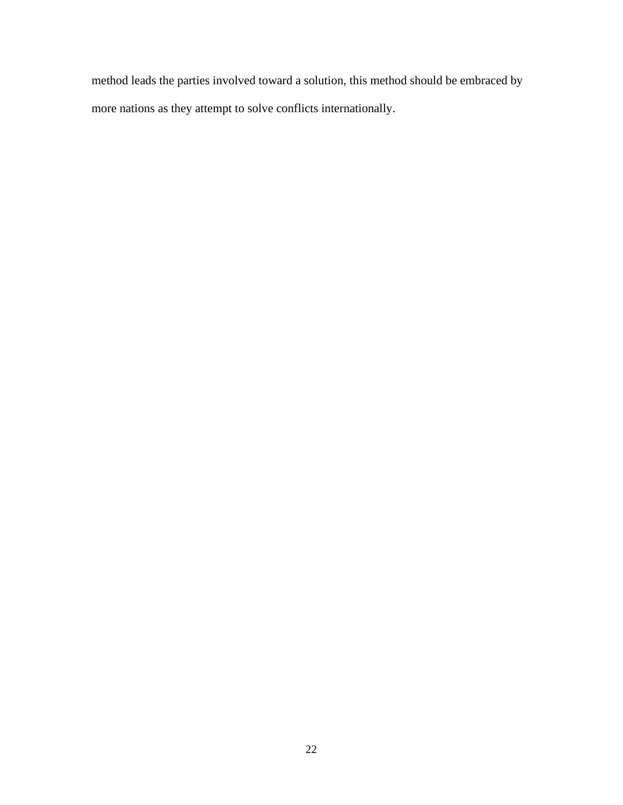method leads the parties involved toward a solution, this method should be embraced by more nations as they attempt to solve conflicts internationally.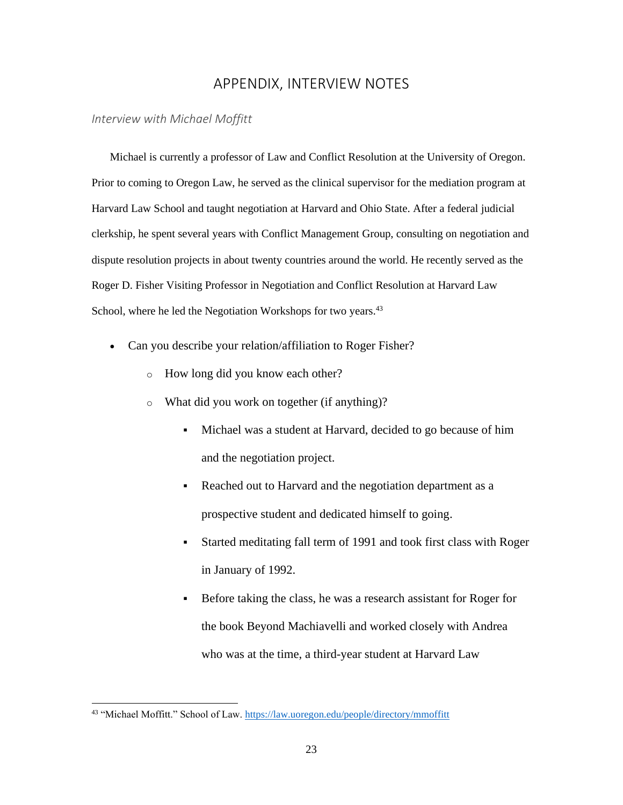# APPENDIX, INTERVIEW NOTES

## <span id="page-29-1"></span><span id="page-29-0"></span>*Interview with Michael Moffitt*

Michael is currently a professor of Law and Conflict Resolution at the University of Oregon. Prior to coming to Oregon Law, he served as the clinical supervisor for the mediation program at Harvard Law School and taught negotiation at Harvard and Ohio State. After a federal judicial clerkship, he spent several years with Conflict Management Group, consulting on negotiation and dispute resolution projects in about twenty countries around the world. He recently served as the Roger D. Fisher Visiting Professor in Negotiation and Conflict Resolution at Harvard Law School, where he led the Negotiation Workshops for two years.<sup>43</sup>

- Can you describe your relation/affiliation to Roger Fisher?
	- o How long did you know each other?
	- o What did you work on together (if anything)?
		- Michael was a student at Harvard, decided to go because of him and the negotiation project.
		- Reached out to Harvard and the negotiation department as a prospective student and dedicated himself to going.
		- Started meditating fall term of 1991 and took first class with Roger in January of 1992.
		- Before taking the class, he was a research assistant for Roger for the book Beyond Machiavelli and worked closely with Andrea who was at the time, a third-year student at Harvard Law

<sup>43</sup> "Michael Moffitt." School of Law. <https://law.uoregon.edu/people/directory/mmoffitt>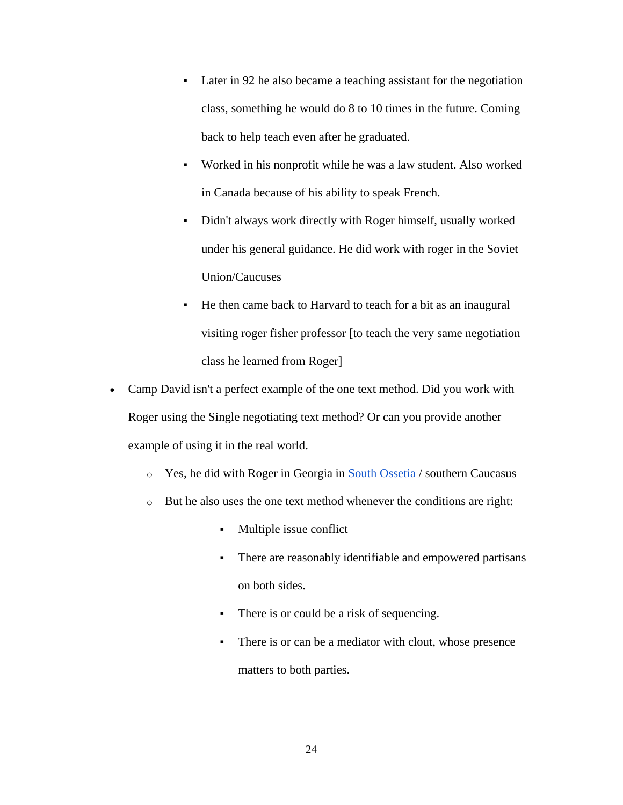- Later in 92 he also became a teaching assistant for the negotiation class, something he would do 8 to 10 times in the future. Coming back to help teach even after he graduated.
- Worked in his nonprofit while he was a law student. Also worked in Canada because of his ability to speak French.
- Didn't always work directly with Roger himself, usually worked under his general guidance. He did work with roger in the Soviet Union/Caucuses
- He then came back to Harvard to teach for a bit as an inaugural visiting roger fisher professor [to teach the very same negotiation class he learned from Roger]
- Camp David isn't a perfect example of the one text method. Did you work with Roger using the Single negotiating text method? Or can you provide another example of using it in the real world.
	- o Yes, he did with Roger in Georgia in [South Ossetia /](https://en.wikipedia.org/wiki/South_Ossetia) southern Caucasus
	- o But he also uses the one text method whenever the conditions are right:
		- Multiple issue conflict
		- There are reasonably identifiable and empowered partisans on both sides.
		- There is or could be a risk of sequencing.
		- There is or can be a mediator with clout, whose presence matters to both parties.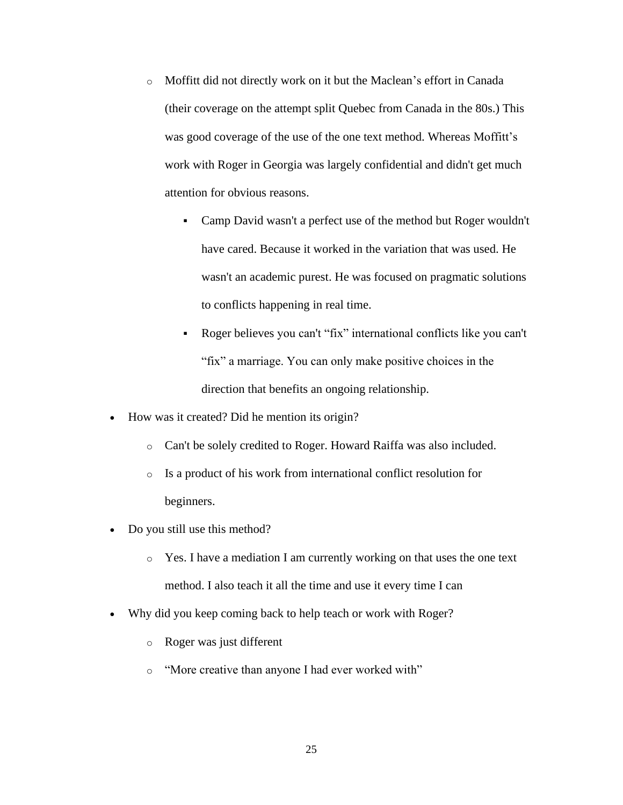- o Moffitt did not directly work on it but the Maclean's effort in Canada (their coverage on the attempt split Quebec from Canada in the 80s.) This was good coverage of the use of the one text method. Whereas Moffitt's work with Roger in Georgia was largely confidential and didn't get much attention for obvious reasons.
	- Camp David wasn't a perfect use of the method but Roger wouldn't have cared. Because it worked in the variation that was used. He wasn't an academic purest. He was focused on pragmatic solutions to conflicts happening in real time.
	- Roger believes you can't "fix" international conflicts like you can't "fix" a marriage. You can only make positive choices in the direction that benefits an ongoing relationship.
- How was it created? Did he mention its origin?
	- o Can't be solely credited to Roger. Howard Raiffa was also included.
	- o Is a product of his work from international conflict resolution for beginners.
- Do you still use this method?
	- o Yes. I have a mediation I am currently working on that uses the one text method. I also teach it all the time and use it every time I can
- Why did you keep coming back to help teach or work with Roger?
	- o Roger was just different
	- o "More creative than anyone I had ever worked with"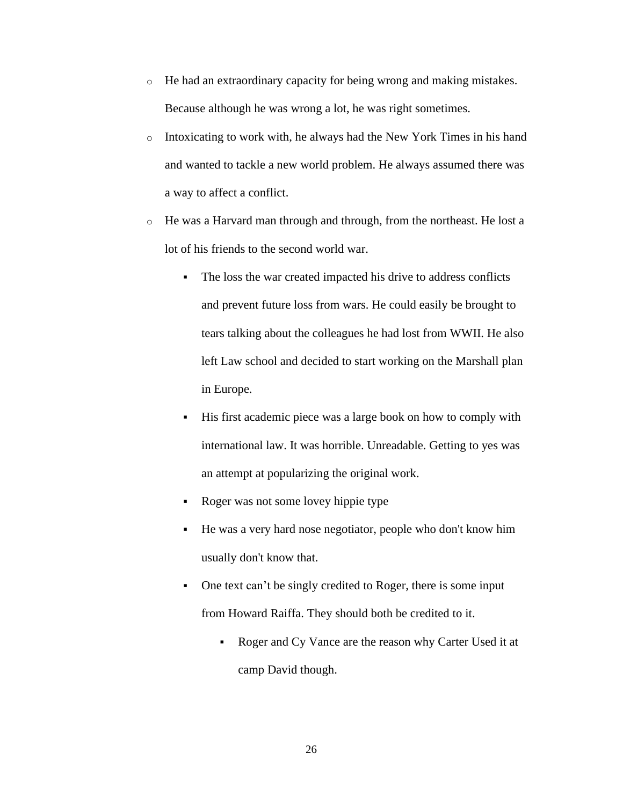- o He had an extraordinary capacity for being wrong and making mistakes. Because although he was wrong a lot, he was right sometimes.
- $\circ$  Intoxicating to work with, he always had the New York Times in his hand and wanted to tackle a new world problem. He always assumed there was a way to affect a conflict.
- o He was a Harvard man through and through, from the northeast. He lost a lot of his friends to the second world war.
	- The loss the war created impacted his drive to address conflicts and prevent future loss from wars. He could easily be brought to tears talking about the colleagues he had lost from WWII. He also left Law school and decided to start working on the Marshall plan in Europe.
	- His first academic piece was a large book on how to comply with international law. It was horrible. Unreadable. Getting to yes was an attempt at popularizing the original work.
	- Roger was not some lovey hippie type
	- He was a very hard nose negotiator, people who don't know him usually don't know that.
	- One text can't be singly credited to Roger, there is some input from Howard Raiffa. They should both be credited to it.
		- Roger and Cy Vance are the reason why Carter Used it at camp David though.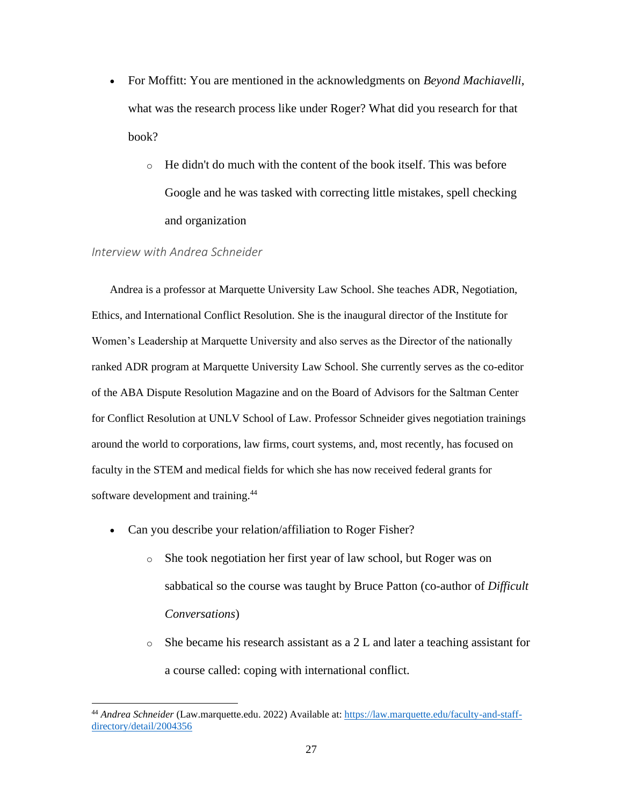- For Moffitt: You are mentioned in the acknowledgments on *Beyond Machiavelli*, what was the research process like under Roger? What did you research for that book?
	- $\circ$  He didn't do much with the content of the book itself. This was before Google and he was tasked with correcting little mistakes, spell checking and organization

## <span id="page-33-0"></span>*Interview with Andrea Schneider*

Andrea is a professor at Marquette University Law School. She teaches ADR, Negotiation, Ethics, and International Conflict Resolution. She is the inaugural director of the Institute for Women's Leadership at Marquette University and also serves as the Director of the nationally ranked ADR program at Marquette University Law School. She currently serves as the co-editor of the ABA Dispute Resolution Magazine and on the Board of Advisors for the Saltman Center for Conflict Resolution at UNLV School of Law. Professor Schneider gives negotiation trainings around the world to corporations, law firms, court systems, and, most recently, has focused on faculty in the STEM and medical fields for which she has now received federal grants for software development and training.<sup>44</sup>

- Can you describe your relation/affiliation to Roger Fisher?
	- o She took negotiation her first year of law school, but Roger was on sabbatical so the course was taught by Bruce Patton (co-author of *Difficult Conversations*)
	- o She became his research assistant as a 2 L and later a teaching assistant for a course called: coping with international conflict.

<sup>44</sup> *Andrea Schneider* (Law.marquette.edu. 2022) Available at[: https://law.marquette.edu/faculty-and-staff](https://law.marquette.edu/faculty-and-staff-directory/detail/2004356)[directory/detail/2004356](https://law.marquette.edu/faculty-and-staff-directory/detail/2004356)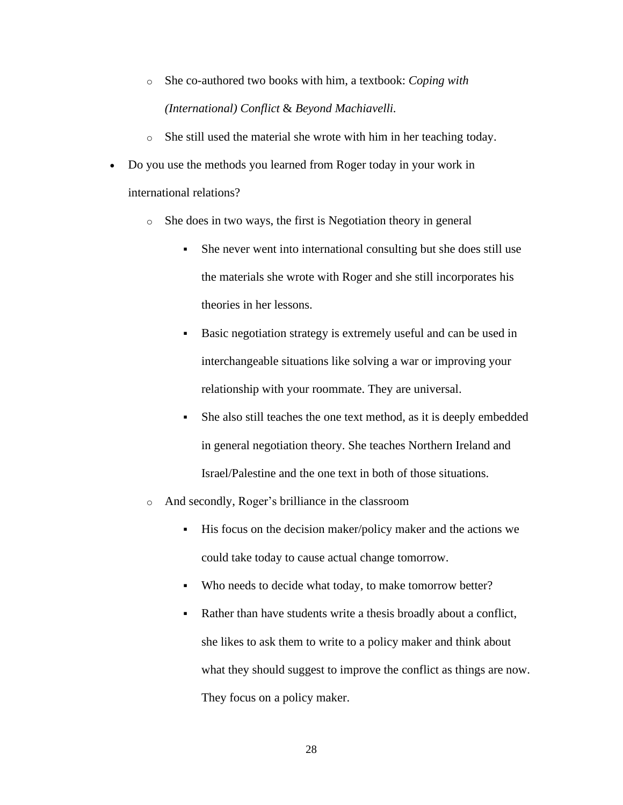- o She co-authored two books with him, a textbook: *Coping with (International) Conflict* & *Beyond Machiavelli.*
- o She still used the material she wrote with him in her teaching today.
- Do you use the methods you learned from Roger today in your work in international relations?
	- o She does in two ways, the first is Negotiation theory in general
		- She never went into international consulting but she does still use the materials she wrote with Roger and she still incorporates his theories in her lessons.
		- Basic negotiation strategy is extremely useful and can be used in interchangeable situations like solving a war or improving your relationship with your roommate. They are universal.
		- She also still teaches the one text method, as it is deeply embedded in general negotiation theory. She teaches Northern Ireland and Israel/Palestine and the one text in both of those situations.
	- o And secondly, Roger's brilliance in the classroom
		- His focus on the decision maker/policy maker and the actions we could take today to cause actual change tomorrow.
		- Who needs to decide what today, to make tomorrow better?
		- Rather than have students write a thesis broadly about a conflict, she likes to ask them to write to a policy maker and think about what they should suggest to improve the conflict as things are now. They focus on a policy maker.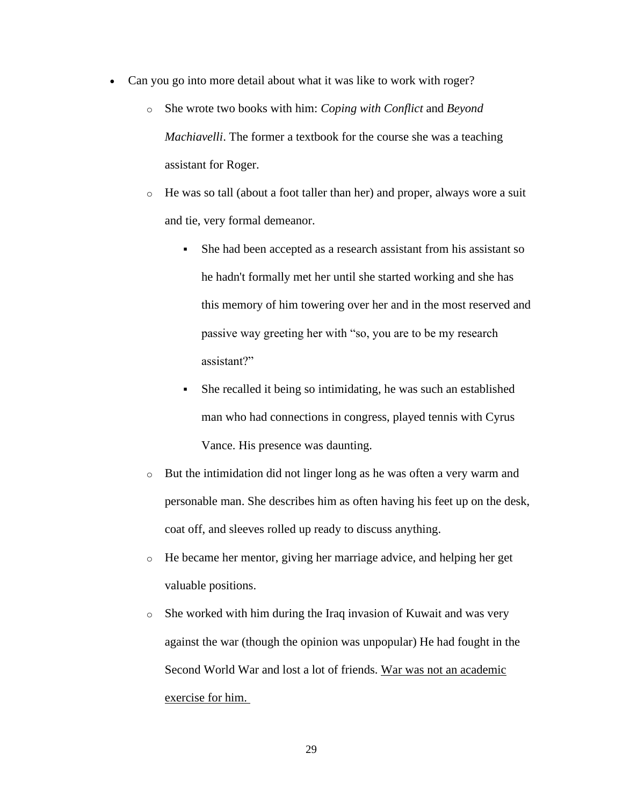- Can you go into more detail about what it was like to work with roger?
	- o She wrote two books with him: *Coping with Conflict* and *Beyond Machiavelli*. The former a textbook for the course she was a teaching assistant for Roger.
	- o He was so tall (about a foot taller than her) and proper, always wore a suit and tie, very formal demeanor.
		- She had been accepted as a research assistant from his assistant so he hadn't formally met her until she started working and she has this memory of him towering over her and in the most reserved and passive way greeting her with "so, you are to be my research assistant?"
		- She recalled it being so intimidating, he was such an established man who had connections in congress, played tennis with Cyrus Vance. His presence was daunting.
	- o But the intimidation did not linger long as he was often a very warm and personable man. She describes him as often having his feet up on the desk, coat off, and sleeves rolled up ready to discuss anything.
	- o He became her mentor, giving her marriage advice, and helping her get valuable positions.
	- o She worked with him during the Iraq invasion of Kuwait and was very against the war (though the opinion was unpopular) He had fought in the Second World War and lost a lot of friends. War was not an academic exercise for him.

29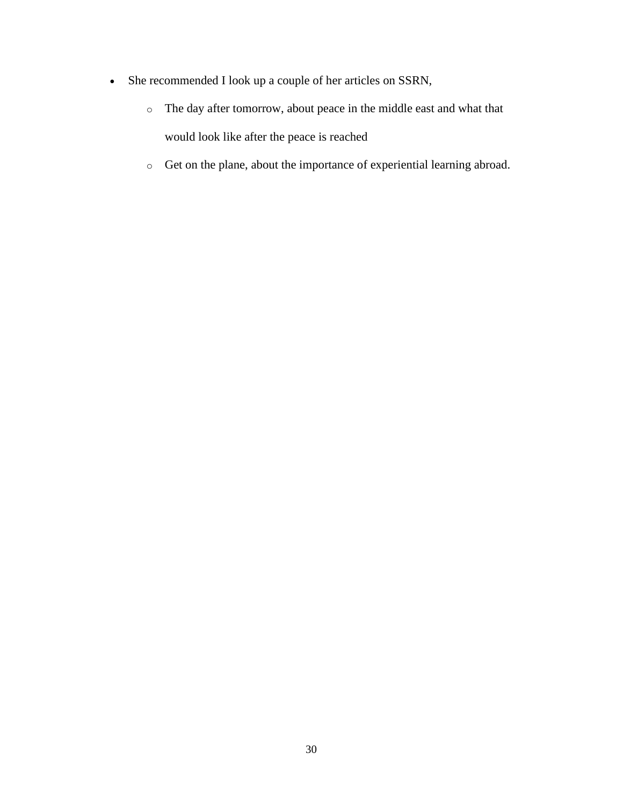- She recommended I look up a couple of her articles on SSRN,
	- o The day after tomorrow, about peace in the middle east and what that would look like after the peace is reached
	- o Get on the plane, about the importance of experiential learning abroad.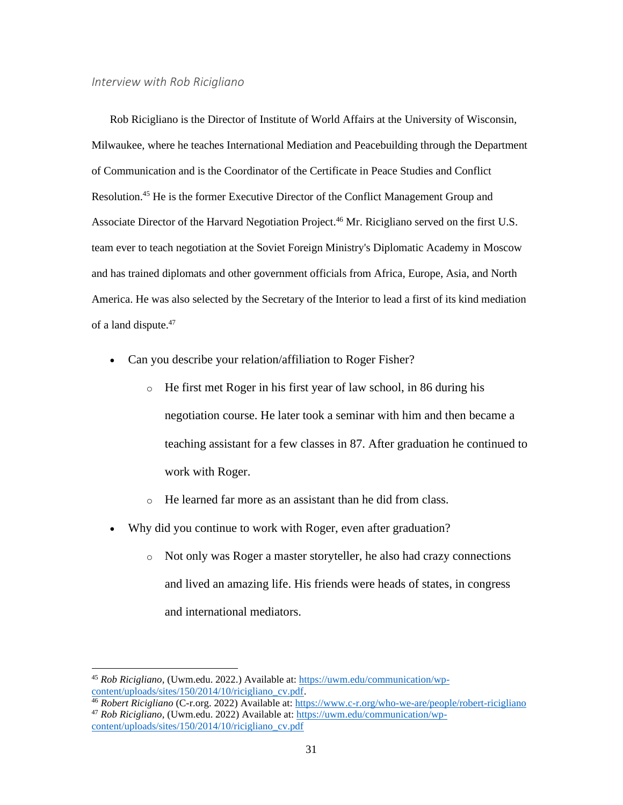#### <span id="page-37-0"></span>*Interview with Rob Ricigliano*

Rob Ricigliano is the Director of Institute of World Affairs at the University of Wisconsin, Milwaukee, where he teaches International Mediation and Peacebuilding through the Department of Communication and is the Coordinator of the Certificate in Peace Studies and Conflict Resolution. <sup>45</sup> He is the former Executive Director of the Conflict Management Group and Associate Director of the Harvard Negotiation Project.<sup>46</sup> Mr. Ricigliano served on the first U.S. team ever to teach negotiation at the Soviet Foreign Ministry's Diplomatic Academy in Moscow and has trained diplomats and other government officials from Africa, Europe, Asia, and North America. He was also selected by the Secretary of the Interior to lead a first of its kind mediation of a land dispute.<sup>47</sup>

- Can you describe your relation/affiliation to Roger Fisher?
	- o He first met Roger in his first year of law school, in 86 during his negotiation course. He later took a seminar with him and then became a teaching assistant for a few classes in 87. After graduation he continued to work with Roger.
	- o He learned far more as an assistant than he did from class.
- Why did you continue to work with Roger, even after graduation?
	- o Not only was Roger a master storyteller, he also had crazy connections and lived an amazing life. His friends were heads of states, in congress and international mediators.

<sup>45</sup> *Rob Ricigliano,* (Uwm.edu. 2022.) Available at: [https://uwm.edu/communication/wp](https://uwm.edu/communication/wp-content/uploads/sites/150/2014/10/ricigliano_cv.pdf)[content/uploads/sites/150/2014/10/ricigliano\\_cv.pdf.](https://uwm.edu/communication/wp-content/uploads/sites/150/2014/10/ricigliano_cv.pdf)

<sup>46</sup> *Robert Ricigliano* (C-r.org. 2022) Available at:<https://www.c-r.org/who-we-are/people/robert-ricigliano> <sup>47</sup> *Rob Ricigliano,* (Uwm.edu. 2022) Available at: [https://uwm.edu/communication/wp](https://uwm.edu/communication/wp-content/uploads/sites/150/2014/10/ricigliano_cv.pdf)[content/uploads/sites/150/2014/10/ricigliano\\_cv.pdf](https://uwm.edu/communication/wp-content/uploads/sites/150/2014/10/ricigliano_cv.pdf)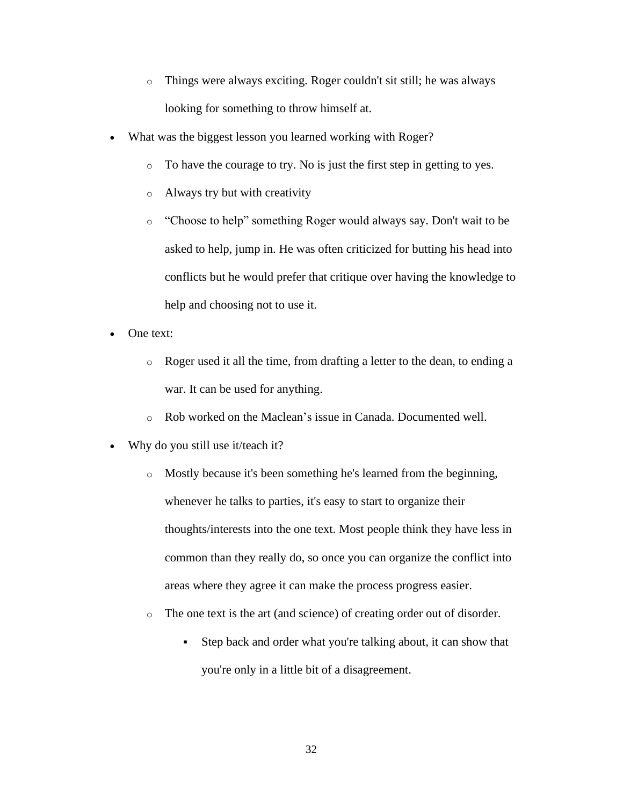- o Things were always exciting. Roger couldn't sit still; he was always looking for something to throw himself at.
- What was the biggest lesson you learned working with Roger?
	- o To have the courage to try. No is just the first step in getting to yes.
	- o Always try but with creativity
	- o "Choose to help" something Roger would always say. Don't wait to be asked to help, jump in. He was often criticized for butting his head into conflicts but he would prefer that critique over having the knowledge to help and choosing not to use it.
- One text:
	- o Roger used it all the time, from drafting a letter to the dean, to ending a war. It can be used for anything.
	- o Rob worked on the Maclean's issue in Canada. Documented well.
- Why do you still use it/teach it?
	- o Mostly because it's been something he's learned from the beginning, whenever he talks to parties, it's easy to start to organize their thoughts/interests into the one text. Most people think they have less in common than they really do, so once you can organize the conflict into areas where they agree it can make the process progress easier.
	- o The one text is the art (and science) of creating order out of disorder.
		- Step back and order what you're talking about, it can show that you're only in a little bit of a disagreement.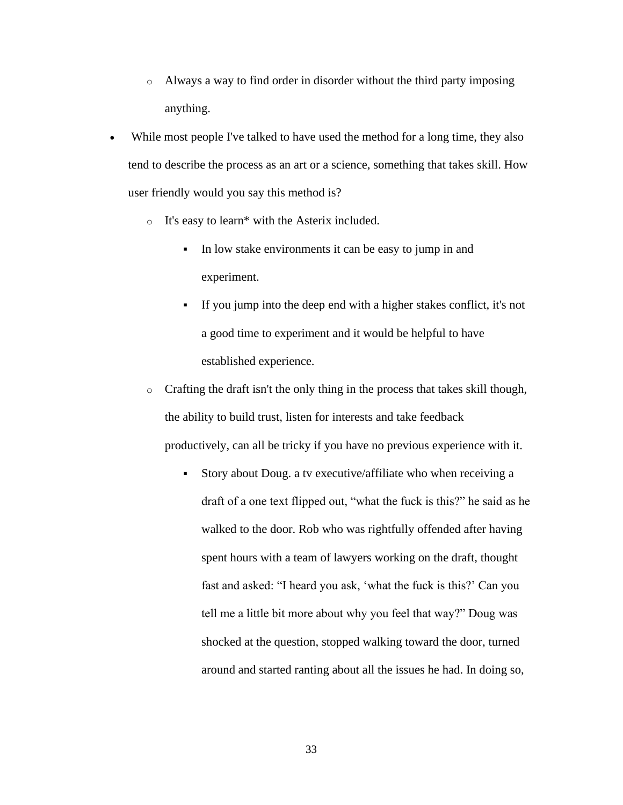- o Always a way to find order in disorder without the third party imposing anything.
- While most people I've talked to have used the method for a long time, they also tend to describe the process as an art or a science, something that takes skill. How user friendly would you say this method is?
	- o It's easy to learn\* with the Asterix included.
		- In low stake environments it can be easy to jump in and experiment.
		- If you jump into the deep end with a higher stakes conflict, it's not a good time to experiment and it would be helpful to have established experience.
	- o Crafting the draft isn't the only thing in the process that takes skill though, the ability to build trust, listen for interests and take feedback productively, can all be tricky if you have no previous experience with it.
		- Story about Doug. a tv executive/affiliate who when receiving a draft of a one text flipped out, "what the fuck is this?" he said as he walked to the door. Rob who was rightfully offended after having spent hours with a team of lawyers working on the draft, thought fast and asked: "I heard you ask, 'what the fuck is this?' Can you tell me a little bit more about why you feel that way?" Doug was shocked at the question, stopped walking toward the door, turned around and started ranting about all the issues he had. In doing so,

33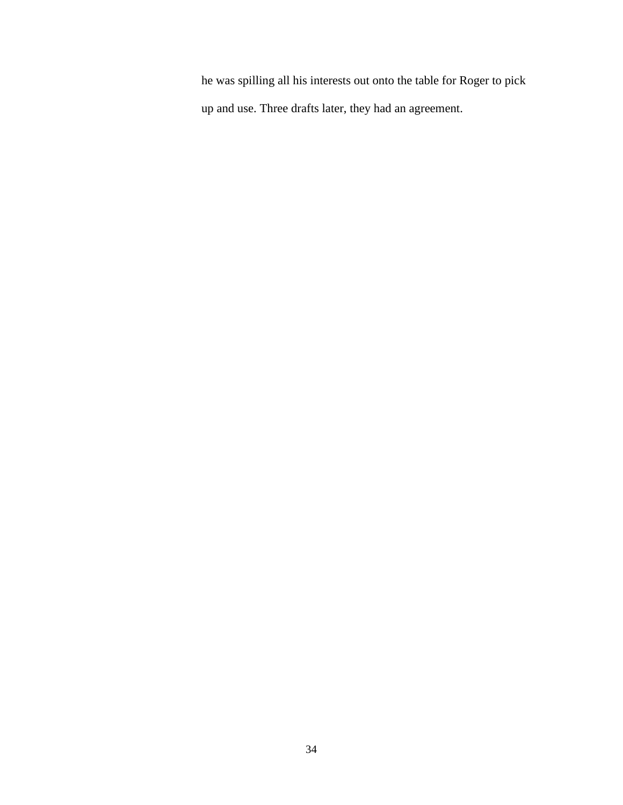he was spilling all his interests out onto the table for Roger to pick up and use. Three drafts later, they had an agreement.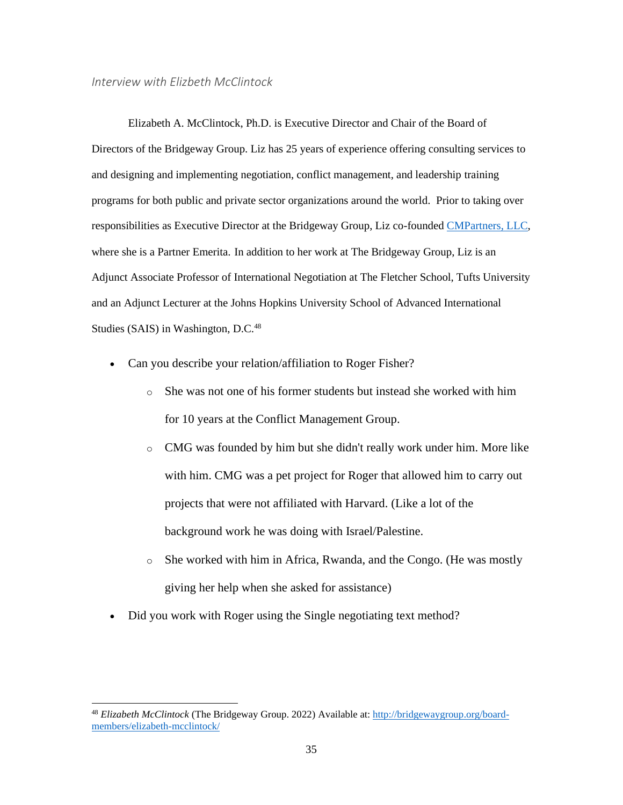<span id="page-41-0"></span>*Interview with Elizbeth McClintock*

 Elizabeth A. McClintock, Ph.D. is Executive Director and Chair of the Board of Directors of the Bridgeway Group. Liz has 25 years of experience offering consulting services to and designing and implementing negotiation, conflict management, and leadership training programs for both public and private sector organizations around the world. Prior to taking over responsibilities as Executive Director at the Bridgeway Group, Liz co-founded [CMPartners, LLC,](http://www.cmpartners.com/) where she is a Partner Emerita. In addition to her work at The Bridgeway Group, Liz is an Adjunct Associate Professor of International Negotiation at The Fletcher School, Tufts University and an Adjunct Lecturer at the Johns Hopkins University School of Advanced International Studies (SAIS) in Washington, D.C.<sup>48</sup>

- Can you describe your relation/affiliation to Roger Fisher?
	- o She was not one of his former students but instead she worked with him for 10 years at the Conflict Management Group.
	- o CMG was founded by him but she didn't really work under him. More like with him. CMG was a pet project for Roger that allowed him to carry out projects that were not affiliated with Harvard. (Like a lot of the background work he was doing with Israel/Palestine.
	- o She worked with him in Africa, Rwanda, and the Congo. (He was mostly giving her help when she asked for assistance)
- Did you work with Roger using the Single negotiating text method?

<sup>48</sup> *Elizabeth McClintock* (The Bridgeway Group. 2022) Available at: [http://bridgewaygroup.org/board](http://bridgewaygroup.org/board-members/elizabeth-mcclintock/)[members/elizabeth-mcclintock/](http://bridgewaygroup.org/board-members/elizabeth-mcclintock/)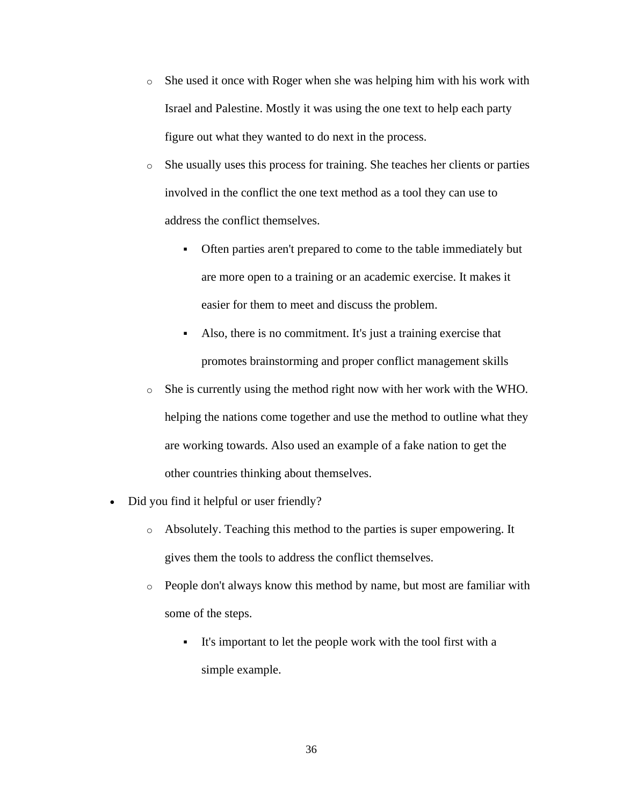- o She used it once with Roger when she was helping him with his work with Israel and Palestine. Mostly it was using the one text to help each party figure out what they wanted to do next in the process.
- o She usually uses this process for training. She teaches her clients or parties involved in the conflict the one text method as a tool they can use to address the conflict themselves.
	- Often parties aren't prepared to come to the table immediately but are more open to a training or an academic exercise. It makes it easier for them to meet and discuss the problem.
	- Also, there is no commitment. It's just a training exercise that promotes brainstorming and proper conflict management skills
- $\circ$  She is currently using the method right now with her work with the WHO. helping the nations come together and use the method to outline what they are working towards. Also used an example of a fake nation to get the other countries thinking about themselves.
- Did you find it helpful or user friendly?
	- o Absolutely. Teaching this method to the parties is super empowering. It gives them the tools to address the conflict themselves.
	- o People don't always know this method by name, but most are familiar with some of the steps.
		- It's important to let the people work with the tool first with a simple example.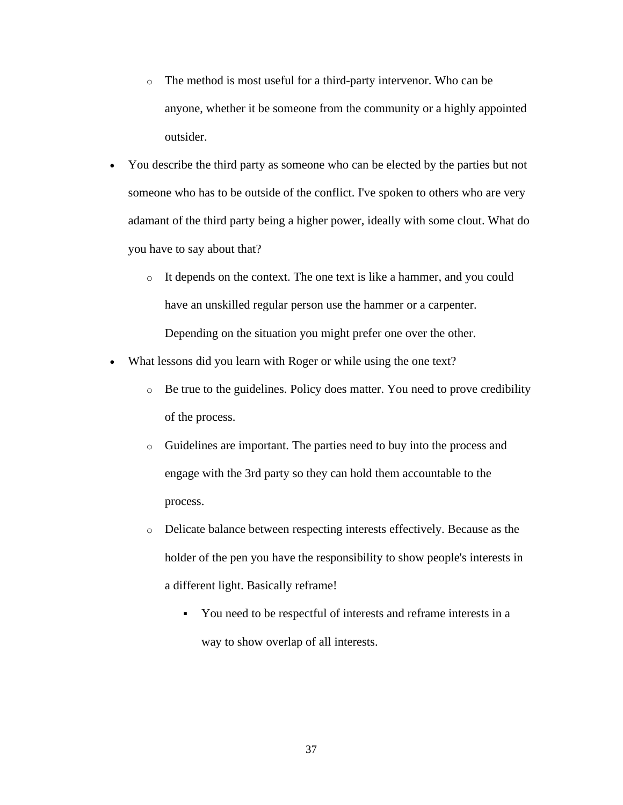- o The method is most useful for a third-party intervenor. Who can be anyone, whether it be someone from the community or a highly appointed outsider.
- You describe the third party as someone who can be elected by the parties but not someone who has to be outside of the conflict. I've spoken to others who are very adamant of the third party being a higher power, ideally with some clout. What do you have to say about that?
	- o It depends on the context. The one text is like a hammer, and you could have an unskilled regular person use the hammer or a carpenter. Depending on the situation you might prefer one over the other.
- What lessons did you learn with Roger or while using the one text?
	- $\circ$  Be true to the guidelines. Policy does matter. You need to prove credibility of the process.
	- o Guidelines are important. The parties need to buy into the process and engage with the 3rd party so they can hold them accountable to the process.
	- o Delicate balance between respecting interests effectively. Because as the holder of the pen you have the responsibility to show people's interests in a different light. Basically reframe!
		- You need to be respectful of interests and reframe interests in a way to show overlap of all interests.

37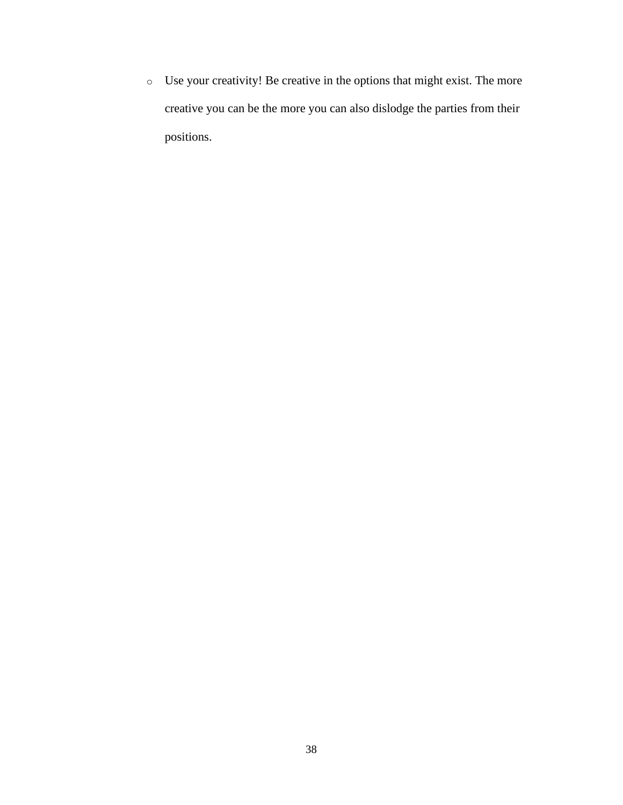o Use your creativity! Be creative in the options that might exist. The more creative you can be the more you can also dislodge the parties from their positions.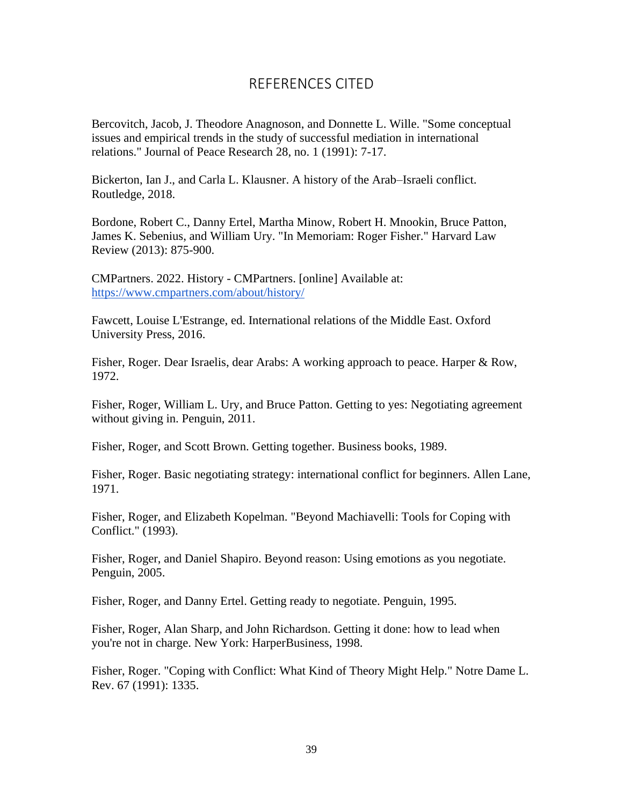# REFERENCES CITED

<span id="page-45-0"></span>Bercovitch, Jacob, J. Theodore Anagnoson, and Donnette L. Wille. "Some conceptual issues and empirical trends in the study of successful mediation in international relations." Journal of Peace Research 28, no. 1 (1991): 7-17.

Bickerton, Ian J., and Carla L. Klausner. A history of the Arab–Israeli conflict. Routledge, 2018.

Bordone, Robert C., Danny Ertel, Martha Minow, Robert H. Mnookin, Bruce Patton, James K. Sebenius, and William Ury. "In Memoriam: Roger Fisher." Harvard Law Review (2013): 875-900.

CMPartners. 2022. History - CMPartners. [online] Available at: <https://www.cmpartners.com/about/history/>

Fawcett, Louise L'Estrange, ed. International relations of the Middle East. Oxford University Press, 2016.

Fisher, Roger. Dear Israelis, dear Arabs: A working approach to peace. Harper & Row, 1972.

Fisher, Roger, William L. Ury, and Bruce Patton. Getting to yes: Negotiating agreement without giving in. Penguin, 2011.

Fisher, Roger, and Scott Brown. Getting together. Business books, 1989.

Fisher, Roger. Basic negotiating strategy: international conflict for beginners. Allen Lane, 1971.

Fisher, Roger, and Elizabeth Kopelman. "Beyond Machiavelli: Tools for Coping with Conflict." (1993).

Fisher, Roger, and Daniel Shapiro. Beyond reason: Using emotions as you negotiate. Penguin, 2005.

Fisher, Roger, and Danny Ertel. Getting ready to negotiate. Penguin, 1995.

Fisher, Roger, Alan Sharp, and John Richardson. Getting it done: how to lead when you're not in charge. New York: HarperBusiness, 1998.

Fisher, Roger. "Coping with Conflict: What Kind of Theory Might Help." Notre Dame L. Rev. 67 (1991): 1335.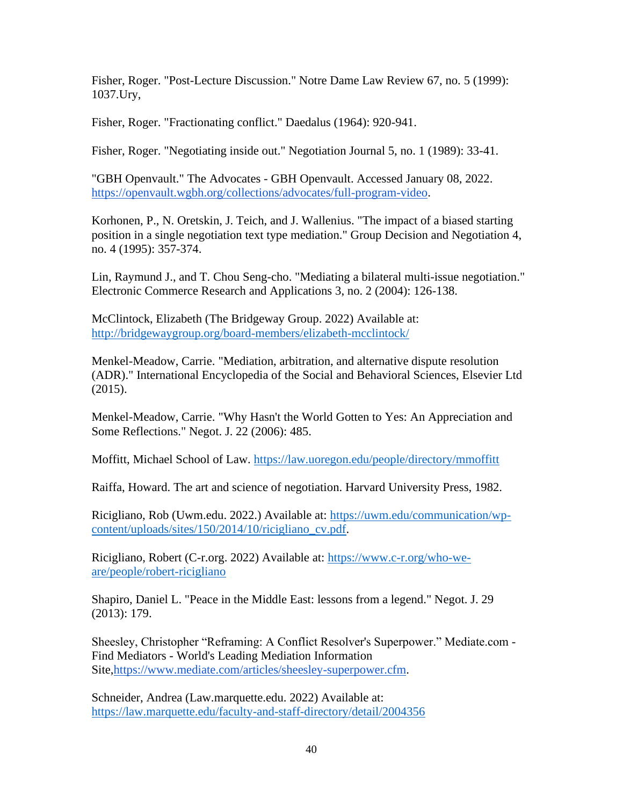Fisher, Roger. "Post-Lecture Discussion." Notre Dame Law Review 67, no. 5 (1999): 1037.Ury,

Fisher, Roger. "Fractionating conflict." Daedalus (1964): 920-941.

Fisher, Roger. "Negotiating inside out." Negotiation Journal 5, no. 1 (1989): 33-41.

"GBH Openvault." The Advocates - GBH Openvault. Accessed January 08, 2022. [https://openvault.wgbh.org/collections/advocates/full-program-video.](https://openvault.wgbh.org/collections/advocates/full-program-video)

Korhonen, P., N. Oretskin, J. Teich, and J. Wallenius. "The impact of a biased starting position in a single negotiation text type mediation." Group Decision and Negotiation 4, no. 4 (1995): 357-374.

Lin, Raymund J., and T. Chou Seng-cho. "Mediating a bilateral multi-issue negotiation." Electronic Commerce Research and Applications 3, no. 2 (2004): 126-138.

McClintock, Elizabeth (The Bridgeway Group. 2022) Available at: <http://bridgewaygroup.org/board-members/elizabeth-mcclintock/>

Menkel-Meadow, Carrie. "Mediation, arbitration, and alternative dispute resolution (ADR)." International Encyclopedia of the Social and Behavioral Sciences, Elsevier Ltd (2015).

Menkel-Meadow, Carrie. "Why Hasn't the World Gotten to Yes: An Appreciation and Some Reflections." Negot. J. 22 (2006): 485.

Moffitt, Michael School of Law.<https://law.uoregon.edu/people/directory/mmoffitt>

Raiffa, Howard. The art and science of negotiation. Harvard University Press, 1982.

Ricigliano, Rob (Uwm.edu. 2022.) Available at: [https://uwm.edu/communication/wp](https://uwm.edu/communication/wp-content/uploads/sites/150/2014/10/ricigliano_cv.pdf)[content/uploads/sites/150/2014/10/ricigliano\\_cv.pdf.](https://uwm.edu/communication/wp-content/uploads/sites/150/2014/10/ricigliano_cv.pdf)

Ricigliano, Robert (C-r.org. 2022) Available at: [https://www.c-r.org/who-we](https://www.c-r.org/who-we-are/people/robert-ricigliano)[are/people/robert-ricigliano](https://www.c-r.org/who-we-are/people/robert-ricigliano)

Shapiro, Daniel L. "Peace in the Middle East: lessons from a legend." Negot. J. 29 (2013): 179.

Sheesley, Christopher "Reframing: A Conflict Resolver's Superpower." Mediate.com - Find Mediators - World's Leading Mediation Information Site[,https://www.mediate.com/articles/sheesley-superpower.cfm.](https://www.mediate.com/articles/sheesley-superpower.cfm)

Schneider, Andrea (Law.marquette.edu. 2022) Available at: <https://law.marquette.edu/faculty-and-staff-directory/detail/2004356>